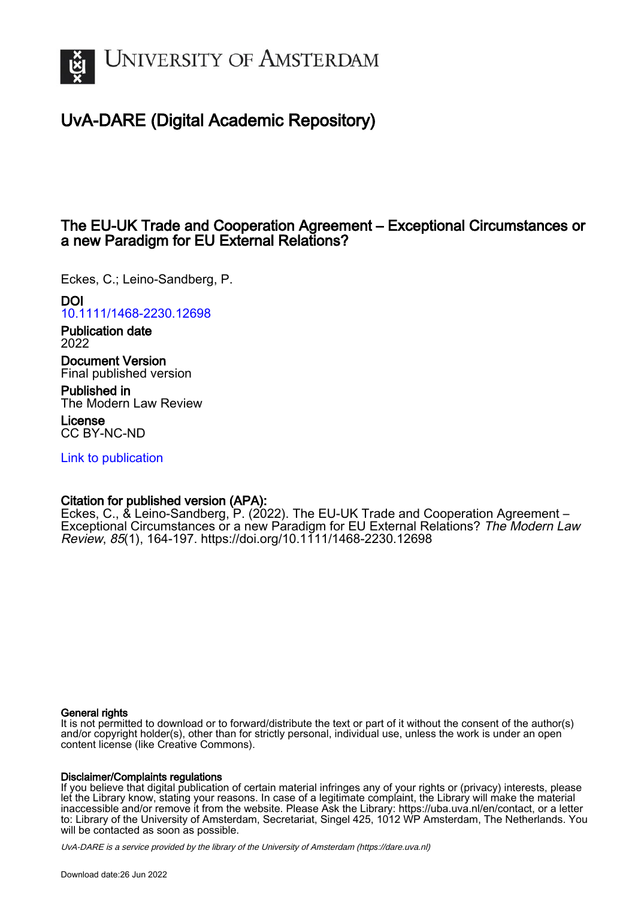

# UvA-DARE (Digital Academic Repository)

## The EU-UK Trade and Cooperation Agreement – Exceptional Circumstances or a new Paradigm for EU External Relations?

Eckes, C.; Leino-Sandberg, P.

DOI

[10.1111/1468-2230.12698](https://doi.org/10.1111/1468-2230.12698)

Publication date 2022

Document Version Final published version

Published in The Modern Law Review

License CC BY-NC-ND

[Link to publication](https://dare.uva.nl/personal/pure/en/publications/the-euuk-trade-and-cooperation-agreement--exceptional-circumstances-or-a-new-paradigm-for-eu-external-relations(58a99653-cdef-4459-b465-e4436de40c5e).html)

### Citation for published version (APA):

Eckes, C., & Leino-Sandberg, P. (2022). The EU-UK Trade and Cooperation Agreement – Exceptional Circumstances or a new Paradigm for EU External Relations? The Modern Law Review, 85(1), 164-197.<https://doi.org/10.1111/1468-2230.12698>

#### General rights

It is not permitted to download or to forward/distribute the text or part of it without the consent of the author(s) and/or copyright holder(s), other than for strictly personal, individual use, unless the work is under an open content license (like Creative Commons).

#### Disclaimer/Complaints regulations

If you believe that digital publication of certain material infringes any of your rights or (privacy) interests, please let the Library know, stating your reasons. In case of a legitimate complaint, the Library will make the material inaccessible and/or remove it from the website. Please Ask the Library: https://uba.uva.nl/en/contact, or a letter to: Library of the University of Amsterdam, Secretariat, Singel 425, 1012 WP Amsterdam, The Netherlands. You will be contacted as soon as possible.

UvA-DARE is a service provided by the library of the University of Amsterdam (http*s*://dare.uva.nl)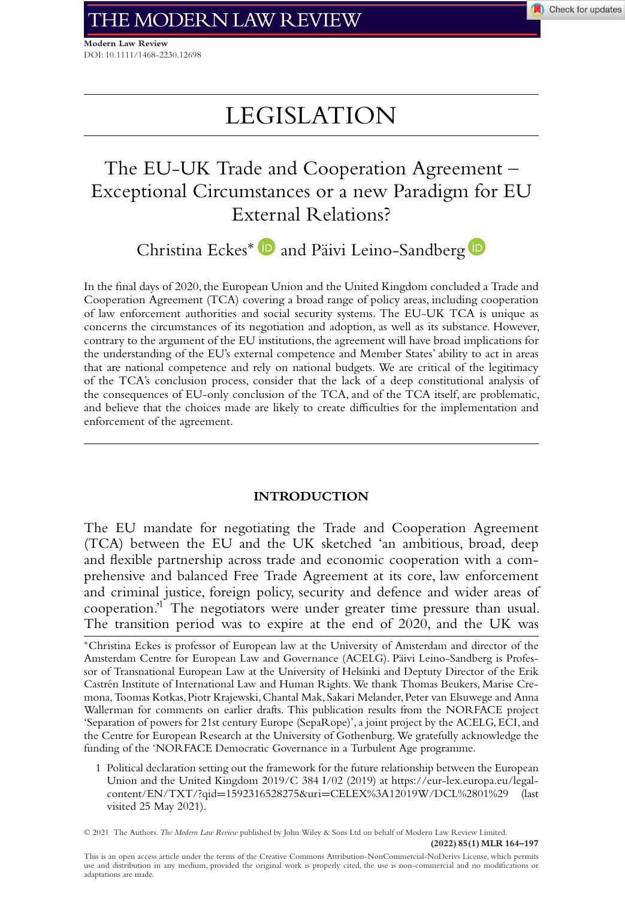**Modern Law Review** DOI: 10.1111/1468-2230.12698

# LEGISLATION

## The EU-UK Trade and Cooperation Agreement – Exceptional Circumstances or a new Paradigm for EU External Relations?

Christina Eckes<sup>\*</sup> D and Päivi Leino-Sandberg D

In the final days of 2020, the European Union and the United Kingdom concluded a Trade and Cooperation Agreement (TCA) covering a broad range of policy areas, including cooperation of law enforcement authorities and social security systems. The EU-UK TCA is unique as concerns the circumstances of its negotiation and adoption, as well as its substance. However, contrary to the argument of the EU institutions, the agreement will have broad implications for the understanding of the EU's external competence and Member States' ability to act in areas that are national competence and rely on national budgets. We are critical of the legitimacy of the TCA's conclusion process, consider that the lack of a deep constitutional analysis of the consequences of EU-only conclusion of the TCA, and of the TCA itself, are problematic, and believe that the choices made are likely to create difficulties for the implementation and enforcement of the agreement.

#### **INTRODUCTION**

The EU mandate for negotiating the Trade and Cooperation Agreement (TCA) between the EU and the UK sketched 'an ambitious, broad, deep and flexible partnership across trade and economic cooperation with a comprehensive and balanced Free Trade Agreement at its core, law enforcement and criminal justice, foreign policy, security and defence and wider areas of cooperation.'1 The negotiators were under greater time pressure than usual. The transition period was to expire at the end of 2020, and the UK was

<sup>∗</sup>Christina Eckes is professor of European law at the University of Amsterdam and director of the Amsterdam Centre for European Law and Governance (ACELG). Päivi Leino-Sandberg is Professor of Transnational European Law at the University of Helsinki and Deptuty Director of the Erik Castrén Institute of International Law and Human Rights. We thank Thomas Beukers, Marise Cremona,Toomas Kotkas, Piotr Krajewski, Chantal Mak, Sakari Melander, Peter van Elsuwege and Anna Wallerman for comments on earlier drafts. This publication results from the NORFACE project 'Separation of powers for 21st century Europe (SepaRope)', a joint project by the ACELG, ECI, and the Centre for European Research at the University of Gothenburg. We gratefully acknowledge the funding of the 'NORFACE Democratic Governance in a Turbulent Age programme.

1 Political declaration setting out the framework for the future relationship between the European Union and the United Kingdom 2019/C 384 I/02 (2019) at [https://eur-lex.europa.eu/legal](https://eur-lex.europa.eu/legal-content/EN/TXT/?qid=1592316528275&uri=CELEX%3A12019W/DCL%2801%29)content/EN/TXT/?qid=1592316528275&uri=[CELEX%3A12019W/DCL%2801%29](https://eur-lex.europa.eu/legal-content/EN/TXT/?qid=1592316528275&uri=CELEX%3A12019W/DCL%2801%29) (last visited 25 May 2021).

© 2021 The Authors. *The Modern Law Review* published by John Wiley & Sons Ltd on behalf of Modern Law Review Limited.

**(2022) 85(1) MLR 164–197**

This is an open access article under the terms of the [Creative Commons Attribution-NonCommercial-NoDerivs](http://creativecommons.org/licenses/by-nc-nd/4.0/) License, which permits use and distribution in any medium, provided the original work is properly cited, the use is non-commercial and no modifications or adaptations are made.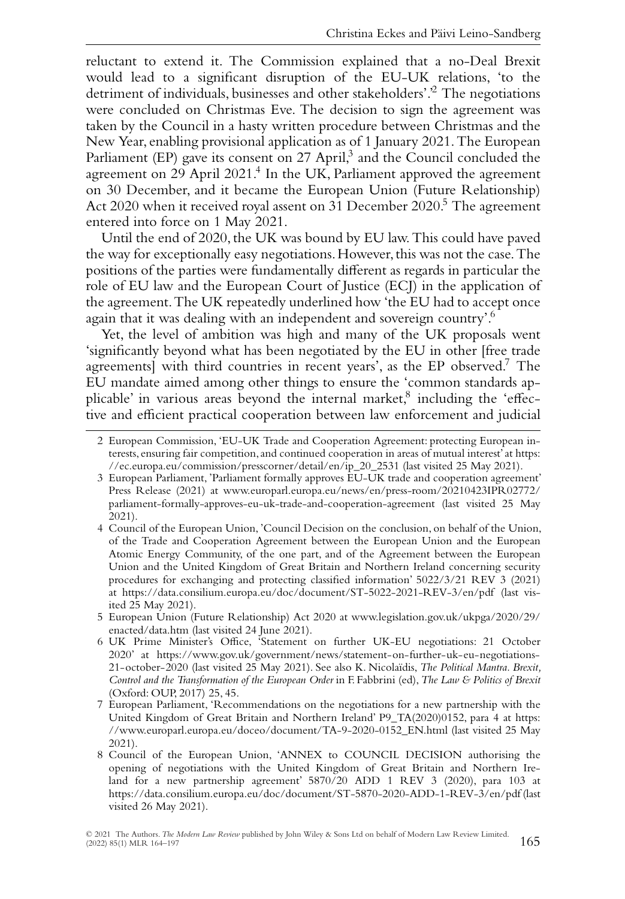reluctant to extend it. The Commission explained that a no-Deal Brexit would lead to a significant disruption of the EU-UK relations, 'to the detriment of individuals, businesses and other stakeholders'.<sup>2</sup> The negotiations were concluded on Christmas Eve. The decision to sign the agreement was taken by the Council in a hasty written procedure between Christmas and the New Year, enabling provisional application as of 1 January 2021. The European Parliament (EP) gave its consent on 27 April,<sup>3</sup> and the Council concluded the agreement on 29 April 2021.<sup>4</sup> In the UK, Parliament approved the agreement on 30 December, and it became the European Union (Future Relationship) Act 2020 when it received royal assent on 31 December 2020.<sup>5</sup> The agreement entered into force on 1 May 2021.

Until the end of 2020, the UK was bound by EU law. This could have paved the way for exceptionally easy negotiations. However, this was not the case. The positions of the parties were fundamentally different as regards in particular the role of EU law and the European Court of Justice (ECJ) in the application of the agreement.The UK repeatedly underlined how 'the EU had to accept once again that it was dealing with an independent and sovereign country'.<sup>6</sup>

Yet, the level of ambition was high and many of the UK proposals went 'significantly beyond what has been negotiated by the EU in other [free trade agreements] with third countries in recent years', as the EP observed.<sup>7</sup> The EU mandate aimed among other things to ensure the 'common standards applicable' in various areas beyond the internal market, $8$  including the 'effective and efficient practical cooperation between law enforcement and judicial

<sup>2</sup> European Commission, 'EU-UK Trade and Cooperation Agreement: protecting European interests, ensuring fair competition, and continued cooperation in areas of mutual interest' at [https:](https://ec.europa.eu/commission/presscorner/detail/en/ip_20_2531) [//ec.europa.eu/commission/presscorner/detail/en/ip\\_20\\_2531](https://ec.europa.eu/commission/presscorner/detail/en/ip_20_2531) (last visited 25 May 2021).

<sup>3</sup> European Parliament, 'Parliament formally approves EU-UK trade and cooperation agreement' Press Release (2021) at [www.europarl.europa.eu/news/en/press-room/20210423IPR02772/](http://www.europarl.europa.eu/news/en/press-room/20210423IPR02772/parliament-formally-approves-eu-uk-trade-and-cooperation-agreement) [parliament-formally-approves-eu-uk-trade-and-cooperation-agreement](http://www.europarl.europa.eu/news/en/press-room/20210423IPR02772/parliament-formally-approves-eu-uk-trade-and-cooperation-agreement) (last visited 25 May 2021).

<sup>4</sup> Council of the European Union, 'Council Decision on the conclusion, on behalf of the Union, of the Trade and Cooperation Agreement between the European Union and the European Atomic Energy Community, of the one part, and of the Agreement between the European Union and the United Kingdom of Great Britain and Northern Ireland concerning security procedures for exchanging and protecting classified information' 5022/3/21 REV 3 (2021) at<https://data.consilium.europa.eu/doc/document/ST-5022-2021-REV-3/en/pdf> (last visited 25 May 2021).

<sup>5</sup> European Union (Future Relationship) Act 2020 at [www.legislation.gov.uk/ukpga/2020/29/](http://www.legislation.gov.uk/ukpga/2020/29/enacted/data.htm) [enacted/data.htm](http://www.legislation.gov.uk/ukpga/2020/29/enacted/data.htm) (last visited 24 June 2021).

<sup>6</sup> UK Prime Minister's Office, 'Statement on further UK-EU negotiations: 21 October 2020' at [https://www.gov.uk/government/news/statement-on-further-uk-eu-negotiations-](https://www.gov.uk/government/news/statement-on-further-uk-eu-negotiations-21-october-2020)[21-october-2020](https://www.gov.uk/government/news/statement-on-further-uk-eu-negotiations-21-october-2020) (last visited 25 May 2021). See also K. Nicolaïdis, *The Political Mantra. Brexit, Control and the Transformation of the European Order* in F. Fabbrini (ed),*The Law & Politics of Brexit* (Oxford: OUP, 2017) 25, 45.

<sup>7</sup> European Parliament, 'Recommendations on the negotiations for a new partnership with the United Kingdom of Great Britain and Northern Ireland' P9\_TA(2020)0152, para 4 at [https:](https://www.europarl.europa.eu/doceo/document/TA-9-2020-0152_EN.html) [//www.europarl.europa.eu/doceo/document/TA-9-2020-0152\\_EN.html](https://www.europarl.europa.eu/doceo/document/TA-9-2020-0152_EN.html) (last visited 25 May 2021).

<sup>8</sup> Council of the European Union, 'ANNEX to COUNCIL DECISION authorising the opening of negotiations with the United Kingdom of Great Britain and Northern Ireland for a new partnership agreement' 5870/20 ADD 1 REV 3 (2020), para 103 at <https://data.consilium.europa.eu/doc/document/ST-5870-2020-ADD-1-REV-3/en/pdf> (last visited 26 May 2021).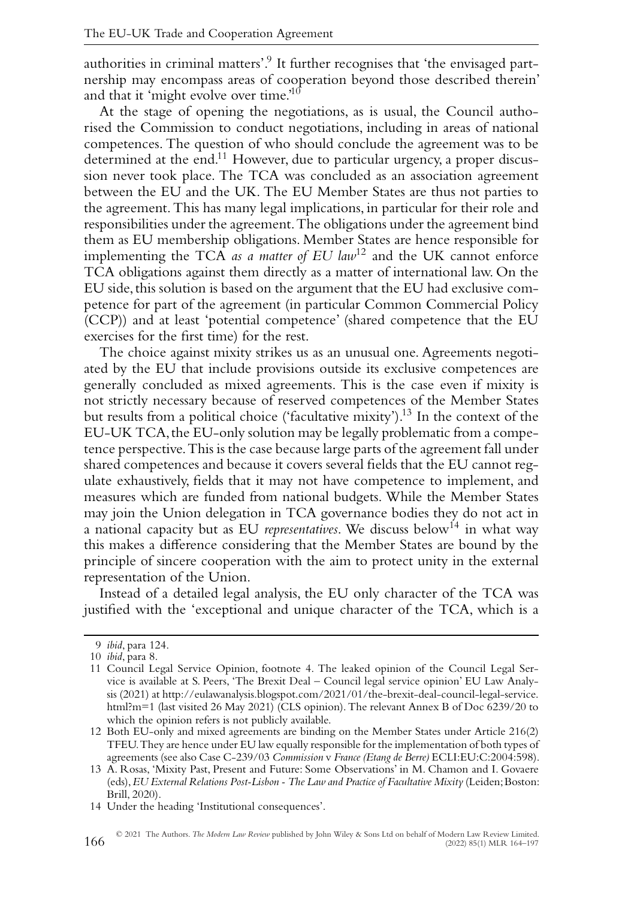authorities in criminal matters'.<sup>9</sup> It further recognises that 'the envisaged partnership may encompass areas of cooperation beyond those described therein' and that it 'might evolve over time.'10

At the stage of opening the negotiations, as is usual, the Council authorised the Commission to conduct negotiations, including in areas of national competences. The question of who should conclude the agreement was to be determined at the end.11 However, due to particular urgency, a proper discussion never took place. The TCA was concluded as an association agreement between the EU and the UK. The EU Member States are thus not parties to the agreement. This has many legal implications, in particular for their role and responsibilities under the agreement.The obligations under the agreement bind them as EU membership obligations. Member States are hence responsible for implementing the TCA *as a matter of EU law*<sup>12</sup> and the UK cannot enforce TCA obligations against them directly as a matter of international law. On the EU side, this solution is based on the argument that the EU had exclusive competence for part of the agreement (in particular Common Commercial Policy (CCP)) and at least 'potential competence' (shared competence that the EU exercises for the first time) for the rest.

The choice against mixity strikes us as an unusual one. Agreements negotiated by the EU that include provisions outside its exclusive competences are generally concluded as mixed agreements. This is the case even if mixity is not strictly necessary because of reserved competences of the Member States but results from a political choice ('facultative  $mixity$ ').<sup>13</sup> In the context of the EU-UK TCA,the EU-only solution may be legally problematic from a competence perspective.This is the case because large parts of the agreement fall under shared competences and because it covers several fields that the EU cannot regulate exhaustively, fields that it may not have competence to implement, and measures which are funded from national budgets. While the Member States may join the Union delegation in TCA governance bodies they do not act in a national capacity but as EU *representatives*. We discuss below<sup>14</sup> in what way this makes a difference considering that the Member States are bound by the principle of sincere cooperation with the aim to protect unity in the external representation of the Union.

Instead of a detailed legal analysis, the EU only character of the TCA was justified with the 'exceptional and unique character of the TCA, which is a

<sup>9</sup> *ibid*, para 124.

<sup>10</sup> *ibid*, para 8.

<sup>11</sup> Council Legal Service Opinion, footnote 4. The leaked opinion of the Council Legal Service is available at S. Peers, 'The Brexit Deal – Council legal service opinion' EU Law Analysis (2021) at [http://eulawanalysis.blogspot.com/2021/01/the-brexit-deal-council-legal-service.](http://eulawanalysis.blogspot.com/2021/01/the-brexit-deal-council-legal-service.html?m=1) [html?m=1](http://eulawanalysis.blogspot.com/2021/01/the-brexit-deal-council-legal-service.html?m=1) (last visited 26 May 2021) (CLS opinion). The relevant Annex B of Doc 6239/20 to which the opinion refers is not publicly available.

<sup>12</sup> Both EU-only and mixed agreements are binding on the Member States under Article 216(2) TFEU.They are hence under EU law equally responsible for the implementation of both types of agreements (see also Case C-239/03 *Commission* v *France (Etang de Berre)* ECLI:EU:C:2004:598).

<sup>13</sup> A. Rosas, 'Mixity Past, Present and Future: Some Observations' in M. Chamon and I. Govaere (eds),*EU External Relations Post-Lisbon - The Law and Practice of Facultative Mixity* (Leiden;Boston: Brill, 2020).

<sup>14</sup> Under the heading 'Institutional consequences'.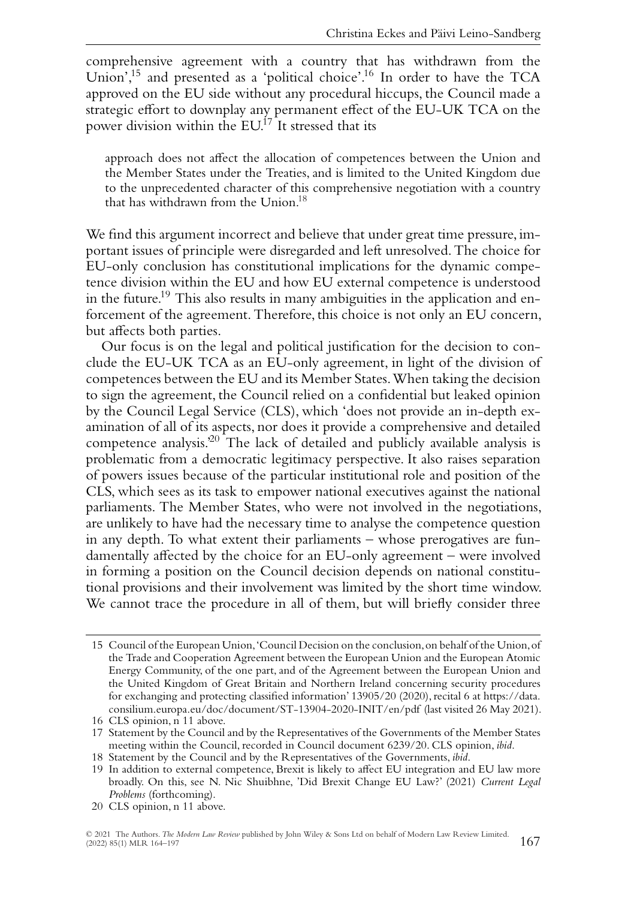comprehensive agreement with a country that has withdrawn from the Union',<sup>15</sup> and presented as a 'political choice'.<sup>16</sup> In order to have the TCA approved on the EU side without any procedural hiccups, the Council made a strategic effort to downplay any permanent effect of the EU-UK TCA on the power division within the EU.<sup>17</sup> It stressed that its

approach does not affect the allocation of competences between the Union and the Member States under the Treaties, and is limited to the United Kingdom due to the unprecedented character of this comprehensive negotiation with a country that has withdrawn from the Union.<sup>18</sup>

We find this argument incorrect and believe that under great time pressure, important issues of principle were disregarded and left unresolved. The choice for EU-only conclusion has constitutional implications for the dynamic competence division within the EU and how EU external competence is understood in the future.19 This also results in many ambiguities in the application and enforcement of the agreement. Therefore, this choice is not only an EU concern, but affects both parties.

Our focus is on the legal and political justification for the decision to conclude the EU-UK TCA as an EU-only agreement, in light of the division of competences between the EU and its Member States.When taking the decision to sign the agreement, the Council relied on a confidential but leaked opinion by the Council Legal Service (CLS), which 'does not provide an in-depth examination of all of its aspects, nor does it provide a comprehensive and detailed competence analysis.'20 The lack of detailed and publicly available analysis is problematic from a democratic legitimacy perspective. It also raises separation of powers issues because of the particular institutional role and position of the CLS, which sees as its task to empower national executives against the national parliaments. The Member States, who were not involved in the negotiations, are unlikely to have had the necessary time to analyse the competence question in any depth. To what extent their parliaments – whose prerogatives are fundamentally affected by the choice for an EU-only agreement – were involved in forming a position on the Council decision depends on national constitutional provisions and their involvement was limited by the short time window. We cannot trace the procedure in all of them, but will briefly consider three

<sup>15</sup> Council of the European Union,'Council Decision on the conclusion,on behalf of the Union,of the Trade and Cooperation Agreement between the European Union and the European Atomic Energy Community, of the one part, and of the Agreement between the European Union and the United Kingdom of Great Britain and Northern Ireland concerning security procedures for exchanging and protecting classified information' 13905/20 (2020), recital 6 at [https://data.](https://data.consilium.europa.eu/doc/document/ST-13904-2020-INIT/en/pdf) [consilium.europa.eu/doc/document/ST-13904-2020-INIT/en/pdf](https://data.consilium.europa.eu/doc/document/ST-13904-2020-INIT/en/pdf) (last visited 26 May 2021).

<sup>16</sup> CLS opinion, n 11 above.

<sup>17</sup> Statement by the Council and by the Representatives of the Governments of the Member States meeting within the Council, recorded in Council document 6239/20. CLS opinion, *ibid*.

<sup>18</sup> Statement by the Council and by the Representatives of the Governments, *ibid*.

<sup>19</sup> In addition to external competence, Brexit is likely to affect EU integration and EU law more broadly. On this, see N. Nic Shuibhne, 'Did Brexit Change EU Law?' (2021) *Current Legal Problems* (forthcoming).

<sup>20</sup> CLS opinion, n 11 above.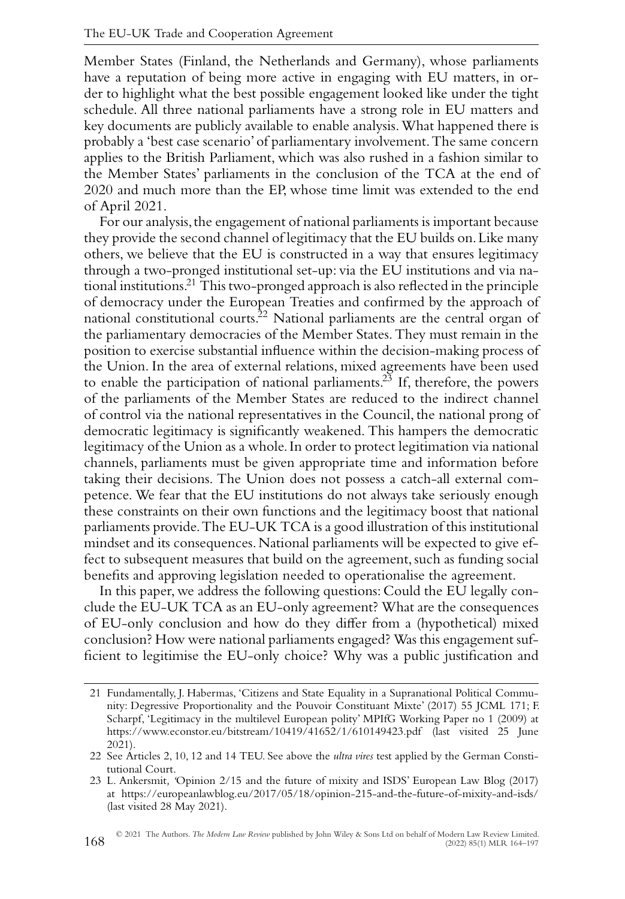Member States (Finland, the Netherlands and Germany), whose parliaments have a reputation of being more active in engaging with EU matters, in order to highlight what the best possible engagement looked like under the tight schedule. All three national parliaments have a strong role in EU matters and key documents are publicly available to enable analysis.What happened there is probably a 'best case scenario' of parliamentary involvement.The same concern applies to the British Parliament, which was also rushed in a fashion similar to the Member States' parliaments in the conclusion of the TCA at the end of 2020 and much more than the EP, whose time limit was extended to the end of April 2021.

For our analysis, the engagement of national parliaments is important because they provide the second channel of legitimacy that the EU builds on.Like many others, we believe that the EU is constructed in a way that ensures legitimacy through a two-pronged institutional set-up: via the EU institutions and via national institutions.21 This two-pronged approach is also reflected in the principle of democracy under the European Treaties and confirmed by the approach of national constitutional courts.<sup>22</sup> National parliaments are the central organ of the parliamentary democracies of the Member States. They must remain in the position to exercise substantial influence within the decision-making process of the Union. In the area of external relations, mixed agreements have been used to enable the participation of national parliaments.<sup>23</sup> If, therefore, the powers of the parliaments of the Member States are reduced to the indirect channel of control via the national representatives in the Council, the national prong of democratic legitimacy is significantly weakened. This hampers the democratic legitimacy of the Union as a whole. In order to protect legitimation via national channels, parliaments must be given appropriate time and information before taking their decisions. The Union does not possess a catch-all external competence. We fear that the EU institutions do not always take seriously enough these constraints on their own functions and the legitimacy boost that national parliaments provide.The EU-UK TCA is a good illustration of this institutional mindset and its consequences.National parliaments will be expected to give effect to subsequent measures that build on the agreement, such as funding social benefits and approving legislation needed to operationalise the agreement.

In this paper, we address the following questions: Could the EU legally conclude the EU-UK TCA as an EU-only agreement? What are the consequences of EU-only conclusion and how do they differ from a (hypothetical) mixed conclusion? How were national parliaments engaged? Was this engagement sufficient to legitimise the EU-only choice? Why was a public justification and

<sup>21</sup> Fundamentally, J. Habermas, 'Citizens and State Equality in a Supranational Political Community: Degressive Proportionality and the Pouvoir Constituant Mixte' (2017) 55 JCML 171; F. Scharpf, 'Legitimacy in the multilevel European polity' MPIfG Working Paper no 1 (2009) at <https://www.econstor.eu/bitstream/10419/41652/1/610149423.pdf> (last visited 25 June 2021).

<sup>22</sup> See Articles 2, 10, 12 and 14 TEU. See above the *ultra vires* test applied by the German Constitutional Court.

<sup>23</sup> L. Ankersmit*, '*Opinion 2/15 and the future of mixity and ISDS' European Law Blog (2017) at<https://europeanlawblog.eu/2017/05/18/opinion-215-and-the-future-of-mixity-and-isds/> (last visited 28 May 2021).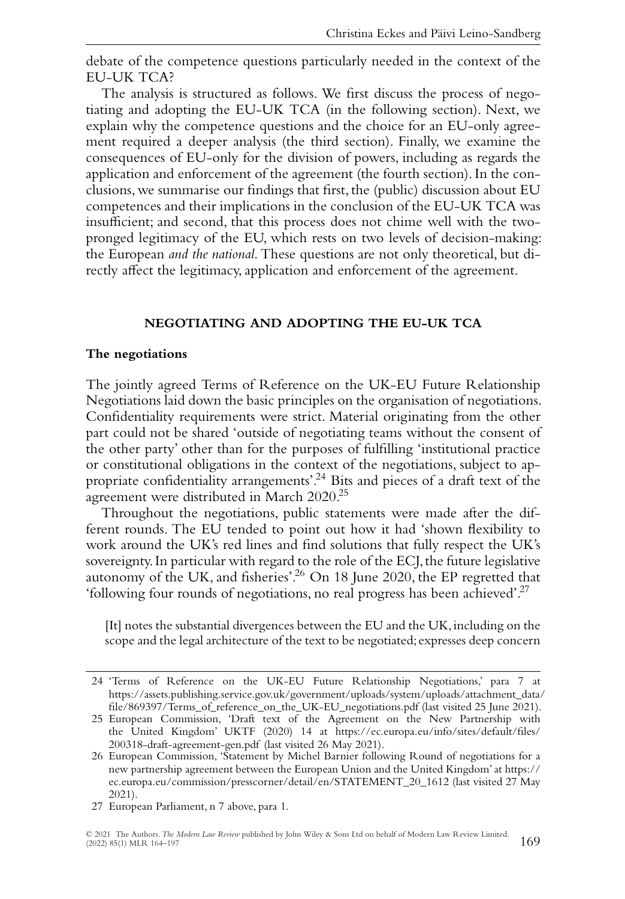debate of the competence questions particularly needed in the context of the EU-UK TCA?

The analysis is structured as follows. We first discuss the process of negotiating and adopting the EU-UK TCA (in the following section). Next, we explain why the competence questions and the choice for an EU-only agreement required a deeper analysis (the third section). Finally, we examine the consequences of EU-only for the division of powers, including as regards the application and enforcement of the agreement (the fourth section). In the conclusions, we summarise our findings that first, the (public) discussion about EU competences and their implications in the conclusion of the EU-UK TCA was insufficient; and second, that this process does not chime well with the twopronged legitimacy of the EU, which rests on two levels of decision-making: the European *and the national*. These questions are not only theoretical, but directly affect the legitimacy, application and enforcement of the agreement.

#### **NEGOTIATING AND ADOPTING THE EU-UK TCA**

#### **The negotiations**

The jointly agreed Terms of Reference on the UK-EU Future Relationship Negotiations laid down the basic principles on the organisation of negotiations. Confidentiality requirements were strict. Material originating from the other part could not be shared 'outside of negotiating teams without the consent of the other party' other than for the purposes of fulfilling 'institutional practice or constitutional obligations in the context of the negotiations, subject to appropriate confidentiality arrangements'.24 Bits and pieces of a draft text of the agreement were distributed in March 2020.25

Throughout the negotiations, public statements were made after the different rounds. The EU tended to point out how it had 'shown flexibility to work around the UK's red lines and find solutions that fully respect the UK's sovereignty. In particular with regard to the role of the ECJ, the future legislative autonomy of the UK, and fisheries'.26 On 18 June 2020, the EP regretted that 'following four rounds of negotiations, no real progress has been achieved'.27

[It] notes the substantial divergences between the EU and the UK, including on the scope and the legal architecture of the text to be negotiated; expresses deep concern

<sup>24 &#</sup>x27;Terms of Reference on the UK-EU Future Relationship Negotiations,' para 7 at [https://assets.publishing.service.gov.uk/government/uploads/system/uploads/attachment\\_data/](https://assets.publishing.service.gov.uk/government/uploads/system/uploads/attachment_data/file/869397/Terms_of_reference_on_the_UK-EU_negotiations.pdf) [file/869397/Terms\\_of\\_reference\\_on\\_the\\_UK-EU\\_negotiations.pdf](https://assets.publishing.service.gov.uk/government/uploads/system/uploads/attachment_data/file/869397/Terms_of_reference_on_the_UK-EU_negotiations.pdf) (last visited 25 June 2021).

<sup>25</sup> European Commission, 'Draft text of the Agreement on the New Partnership with the United Kingdom' UKTF (2020) 14 at [https://ec.europa.eu/info/sites/default/files/](https://ec.europa.eu/info/sites/default/files/200318-draft-agreement-gen.pdf) [200318-draft-agreement-gen.pdf](https://ec.europa.eu/info/sites/default/files/200318-draft-agreement-gen.pdf) (last visited 26 May 2021).

<sup>26</sup> European Commission, 'Statement by Michel Barnier following Round of negotiations for a new partnership agreement between the European Union and the United Kingdom' at [https://](https://ec.europa.eu/commission/presscorner/detail/en/STATEMENT_20_1612) [ec.europa.eu/commission/presscorner/detail/en/STATEMENT\\_20\\_1612](https://ec.europa.eu/commission/presscorner/detail/en/STATEMENT_20_1612) (last visited 27 May 2021).

<sup>27</sup> European Parliament, n 7 above, para 1.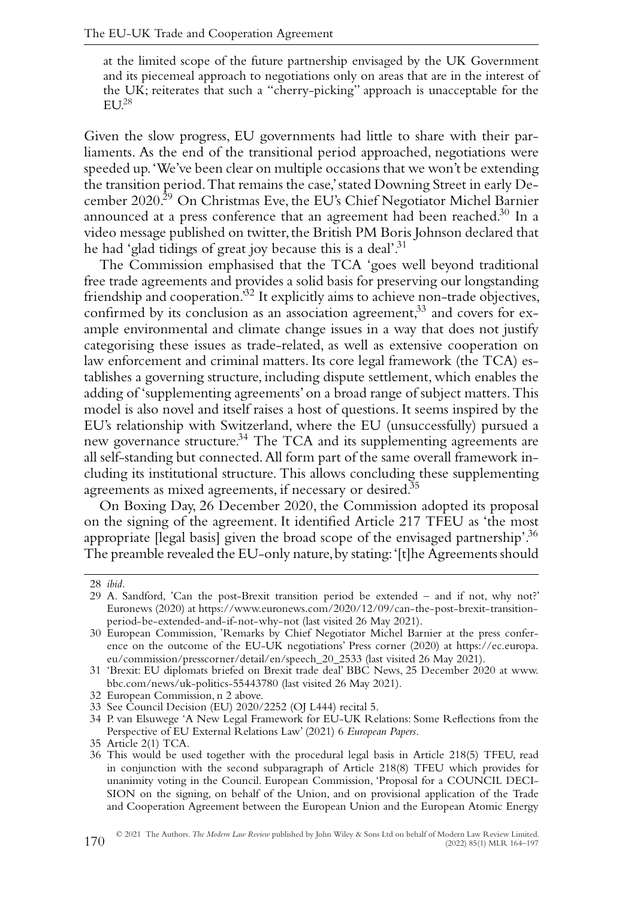at the limited scope of the future partnership envisaged by the UK Government and its piecemeal approach to negotiations only on areas that are in the interest of the UK; reiterates that such a "cherry-picking" approach is unacceptable for the  $EU<sup>28</sup>$ 

Given the slow progress, EU governments had little to share with their parliaments. As the end of the transitional period approached, negotiations were speeded up.'We've been clear on multiple occasions that we won't be extending the transition period.That remains the case,' stated Downing Street in early December 2020.<sup>29</sup> On Christmas Eve, the EU's Chief Negotiator Michel Barnier announced at a press conference that an agreement had been reached.<sup>30</sup> In a video message published on twitter, the British PM Boris Johnson declared that he had 'glad tidings of great joy because this is a deal'.<sup>31</sup>

The Commission emphasised that the TCA 'goes well beyond traditional free trade agreements and provides a solid basis for preserving our longstanding friendship and cooperation.<sup>32</sup> It explicitly aims to achieve non-trade objectives, confirmed by its conclusion as an association agreement,<sup>33</sup> and covers for example environmental and climate change issues in a way that does not justify categorising these issues as trade-related, as well as extensive cooperation on law enforcement and criminal matters. Its core legal framework (the TCA) establishes a governing structure, including dispute settlement, which enables the adding of 'supplementing agreements' on a broad range of subject matters.This model is also novel and itself raises a host of questions. It seems inspired by the EU's relationship with Switzerland, where the EU (unsuccessfully) pursued a new governance structure.<sup>34</sup> The TCA and its supplementing agreements are all self-standing but connected.All form part of the same overall framework including its institutional structure. This allows concluding these supplementing agreements as mixed agreements, if necessary or desired.<sup>35</sup>

On Boxing Day, 26 December 2020, the Commission adopted its proposal on the signing of the agreement. It identified Article 217 TFEU as 'the most appropriate [legal basis] given the broad scope of the envisaged partnership'.<sup>36</sup> The preamble revealed the EU-only nature, by stating: '[t]he Agreements should

<sup>28</sup> *ibid*.

<sup>29</sup> A. Sandford, 'Can the post-Brexit transition period be extended – and if not, why not?' Euronews (2020) at [https://www.euronews.com/2020/12/09/can-the-post-brexit-transition](https://www.euronews.com/2020/12/09/can-the-post-brexit-transition-period-be-extended-and-if-not-why-not)[period-be-extended-and-if-not-why-not](https://www.euronews.com/2020/12/09/can-the-post-brexit-transition-period-be-extended-and-if-not-why-not) (last visited 26 May 2021).

<sup>30</sup> European Commission, 'Remarks by Chief Negotiator Michel Barnier at the press conference on the outcome of the EU-UK negotiations' Press corner (2020) at [https://ec.europa.](https://ec.europa.eu/commission/presscorner/detail/en/speech_20_2533) [eu/commission/presscorner/detail/en/speech\\_20\\_2533](https://ec.europa.eu/commission/presscorner/detail/en/speech_20_2533) (last visited 26 May 2021).

<sup>31 &#</sup>x27;Brexit: EU diplomats briefed on Brexit trade deal' BBC News, 25 December 2020 at [www.](http://www.bbc.com/news/uk-politics-55443780) [bbc.com/news/uk-politics-55443780](http://www.bbc.com/news/uk-politics-55443780) (last visited 26 May 2021).

<sup>32</sup> European Commission, n 2 above.

<sup>33</sup> See Council Decision (EU) 2020/2252 (OJ L444) recital 5.

<sup>34</sup> P. van Elsuwege 'A New Legal Framework for EU-UK Relations: Some Reflections from the Perspective of EU External Relations Law' (2021) 6 *European Papers*.

<sup>35</sup> Article 2(1) TCA.

<sup>36</sup> This would be used together with the procedural legal basis in Article 218(5) TFEU, read in conjunction with the second subparagraph of Article 218(8) TFEU which provides for unanimity voting in the Council. European Commission, 'Proposal for a COUNCIL DECI-SION on the signing, on behalf of the Union, and on provisional application of the Trade and Cooperation Agreement between the European Union and the European Atomic Energy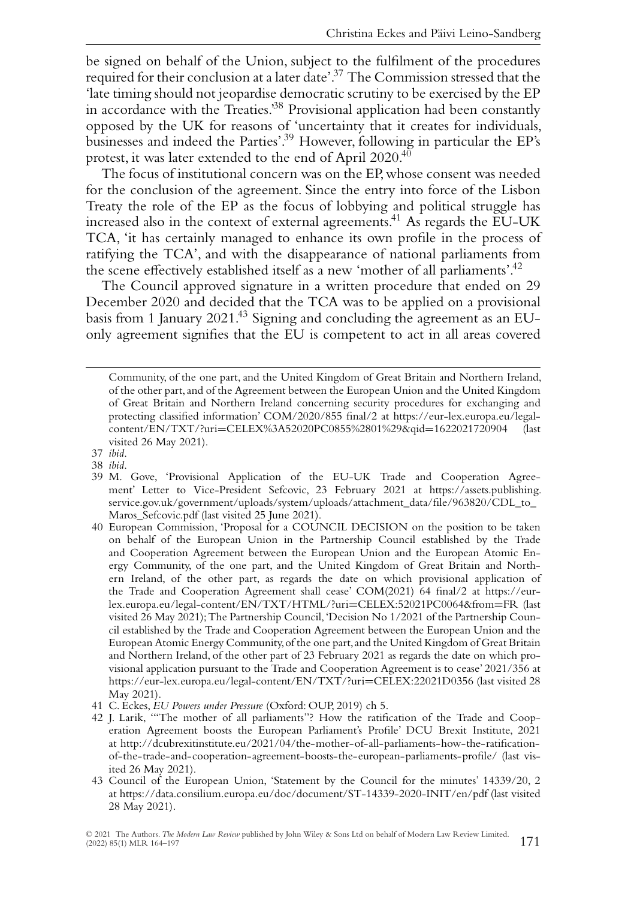be signed on behalf of the Union, subject to the fulfilment of the procedures required for their conclusion at a later date'.37 The Commission stressed that the 'late timing should not jeopardise democratic scrutiny to be exercised by the EP in accordance with the Treaties.'38 Provisional application had been constantly opposed by the UK for reasons of 'uncertainty that it creates for individuals, businesses and indeed the Parties'.<sup>39</sup> However, following in particular the EP's protest, it was later extended to the end of April 2020.40

The focus of institutional concern was on the EP, whose consent was needed for the conclusion of the agreement. Since the entry into force of the Lisbon Treaty the role of the EP as the focus of lobbying and political struggle has increased also in the context of external agreements.41 As regards the EU-UK TCA, 'it has certainly managed to enhance its own profile in the process of ratifying the TCA', and with the disappearance of national parliaments from the scene effectively established itself as a new 'mother of all parliaments'.<sup>42</sup>

The Council approved signature in a written procedure that ended on 29 December 2020 and decided that the TCA was to be applied on a provisional basis from 1 January 2021.43 Signing and concluding the agreement as an EUonly agreement signifies that the EU is competent to act in all areas covered

- 40 European Commission, 'Proposal for a COUNCIL DECISION on the position to be taken on behalf of the European Union in the Partnership Council established by the Trade and Cooperation Agreement between the European Union and the European Atomic Energy Community, of the one part, and the United Kingdom of Great Britain and Northern Ireland, of the other part, as regards the date on which provisional application of the Trade and Cooperation Agreement shall cease' COM(2021) 64 final/2 at [https://eur](https://eur-lex.europa.eu/legal-content/EN/TXT/HTML/?uri=CELEX:52021PC0064&from=FR)[lex.europa.eu/legal-content/EN/TXT/HTML/?uri](https://eur-lex.europa.eu/legal-content/EN/TXT/HTML/?uri=CELEX:52021PC0064&from=FR)=CELEX:52021PC0064&from=FR (last visited 26 May 2021);The Partnership Council,'Decision No 1/2021 of the Partnership Council established by the Trade and Cooperation Agreement between the European Union and the European Atomic Energy Community,of the one part,and the United Kingdom of Great Britain and Northern Ireland, of the other part of 23 February 2021 as regards the date on which provisional application pursuant to the Trade and Cooperation Agreement is to cease' 2021/356 at [https://eur-lex.europa.eu/legal-content/EN/TXT/?uri](https://eur-lex.europa.eu/legal-content/EN/TXT/?uri=CELEX:22021D0356)=CELEX:22021D0356 (last visited 28 May 2021).
- 41 C. Eckes, *EU Powers under Pressure* (Oxford: OUP, 2019) ch 5.
- 42 J. Larik, '"The mother of all parliaments"? How the ratification of the Trade and Cooperation Agreement boosts the European Parliament's Profile' DCU Brexit Institute, 2021 at [http://dcubrexitinstitute.eu/2021/04/the-mother-of-all-parliaments-how-the-ratification](http://dcubrexitinstitute.eu/2021/04/the-mother-of-all-parliaments-how-the-ratification-of-the-trade-and-cooperation-agreement-boosts-the-european-parliaments-profile/)[of-the-trade-and-cooperation-agreement-boosts-the-european-parliaments-profile/](http://dcubrexitinstitute.eu/2021/04/the-mother-of-all-parliaments-how-the-ratification-of-the-trade-and-cooperation-agreement-boosts-the-european-parliaments-profile/) (last visited 26 May 2021).
- 43 Council of the European Union, 'Statement by the Council for the minutes' 14339/20, 2 at<https://data.consilium.europa.eu/doc/document/ST-14339-2020-INIT/en/pdf> (last visited 28 May 2021).

Community, of the one part, and the United Kingdom of Great Britain and Northern Ireland, of the other part, and of the Agreement between the European Union and the United Kingdom of Great Britain and Northern Ireland concerning security procedures for exchanging and protecting classified information' COM/2020/855 final/2 at [https://eur-lex.europa.eu/legal](https://eur-lex.europa.eu/legal-content/EN/TXT/?uri=CELEX%3A52020PC0855%2801%29&qid=1622021720904)content/EN/TXT/?uri=[CELEX%3A52020PC0855%2801%29&qid](https://eur-lex.europa.eu/legal-content/EN/TXT/?uri=CELEX%3A52020PC0855%2801%29&qid=1622021720904)=1622021720904 (last visited 26 May 2021).

<sup>37</sup> *ibid*.

<sup>38</sup> *ibid*.

<sup>39</sup> M. Gove, 'Provisional Application of the EU-UK Trade and Cooperation Agreement' Letter to Vice-President Sefcovic, 23 February 2021 at [https://assets.publishing.](https://assets.publishing.service.gov.uk/government/uploads/system/uploads/attachment_data/file/963820/CDL_to_Maros_Sefcovic.pdf) [service.gov.uk/government/uploads/system/uploads/attachment\\_data/file/963820/CDL\\_to\\_](https://assets.publishing.service.gov.uk/government/uploads/system/uploads/attachment_data/file/963820/CDL_to_Maros_Sefcovic.pdf) [Maros\\_Sefcovic.pdf](https://assets.publishing.service.gov.uk/government/uploads/system/uploads/attachment_data/file/963820/CDL_to_Maros_Sefcovic.pdf) (last visited 25 June 2021).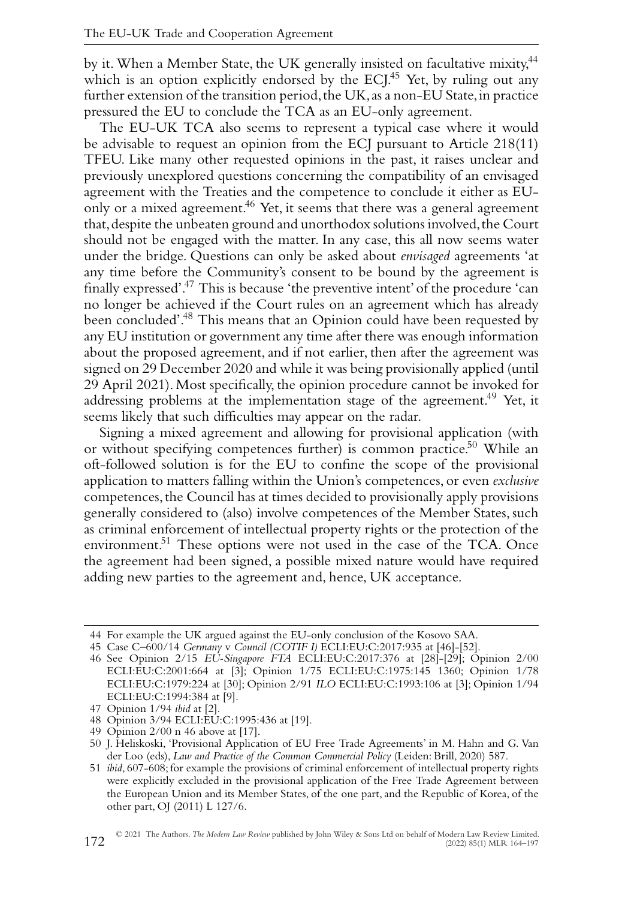by it. When a Member State, the UK generally insisted on facultative mixity,<sup>44</sup> which is an option explicitly endorsed by the ECJ.<sup>45</sup> Yet, by ruling out any further extension of the transition period, the UK, as a non-EU State, in practice pressured the EU to conclude the TCA as an EU-only agreement.

The EU-UK TCA also seems to represent a typical case where it would be advisable to request an opinion from the ECJ pursuant to Article 218(11) TFEU. Like many other requested opinions in the past, it raises unclear and previously unexplored questions concerning the compatibility of an envisaged agreement with the Treaties and the competence to conclude it either as EUonly or a mixed agreement.<sup>46</sup> Yet, it seems that there was a general agreement that, despite the unbeaten ground and unorthodox solutions involved, the Court should not be engaged with the matter. In any case, this all now seems water under the bridge. Questions can only be asked about *envisaged* agreements 'at any time before the Community's consent to be bound by the agreement is finally expressed'.47 This is because 'the preventive intent' of the procedure 'can no longer be achieved if the Court rules on an agreement which has already been concluded'.48 This means that an Opinion could have been requested by any EU institution or government any time after there was enough information about the proposed agreement, and if not earlier, then after the agreement was signed on 29 December 2020 and while it was being provisionally applied (until 29 April 2021). Most specifically, the opinion procedure cannot be invoked for addressing problems at the implementation stage of the agreement.<sup>49</sup> Yet, it seems likely that such difficulties may appear on the radar.

Signing a mixed agreement and allowing for provisional application (with or without specifying competences further) is common practice.50 While an oft-followed solution is for the EU to confine the scope of the provisional application to matters falling within the Union's competences, or even *exclusive* competences,the Council has at times decided to provisionally apply provisions generally considered to (also) involve competences of the Member States, such as criminal enforcement of intellectual property rights or the protection of the environment.<sup>51</sup> These options were not used in the case of the TCA. Once the agreement had been signed, a possible mixed nature would have required adding new parties to the agreement and, hence, UK acceptance.

<sup>44</sup> For example the UK argued against the EU-only conclusion of the Kosovo SAA.

<sup>45</sup> Case C–600/14 *Germany* v *Council (COTIF I)* ECLI:EU:C:2017:935 at [46]-[52].

<sup>46</sup> See Opinion 2/15 *EU-Singapore FTA* ECLI:EU:C:2017:376 at [28]-[29]; Opinion 2/00 ECLI:EU:C:2001:664 at [3]; Opinion 1/75 ECLI:EU:C:1975:145 1360; Opinion 1/78 ECLI:EU:C:1979:224 at [30]; Opinion 2/91 *ILO* ECLI:EU:C:1993:106 at [3]; Opinion 1/94 ECLI:EU:C:1994:384 at [9].

<sup>47</sup> Opinion 1/94 *ibid* at [2].

<sup>48</sup> Opinion 3/94 ECLI:EU:C:1995:436 at [19].

<sup>49</sup> Opinion 2/00 n 46 above at [17].

<sup>50</sup> J. Heliskoski, 'Provisional Application of EU Free Trade Agreements' in M. Hahn and G. Van der Loo (eds), *Law and Practice of the Common Commercial Policy* (Leiden: Brill, 2020) 587.

<sup>51</sup> *ibid*, 607-608; for example the provisions of criminal enforcement of intellectual property rights were explicitly excluded in the provisional application of the Free Trade Agreement between the European Union and its Member States, of the one part, and the Republic of Korea, of the other part, OJ (2011) L 127/6.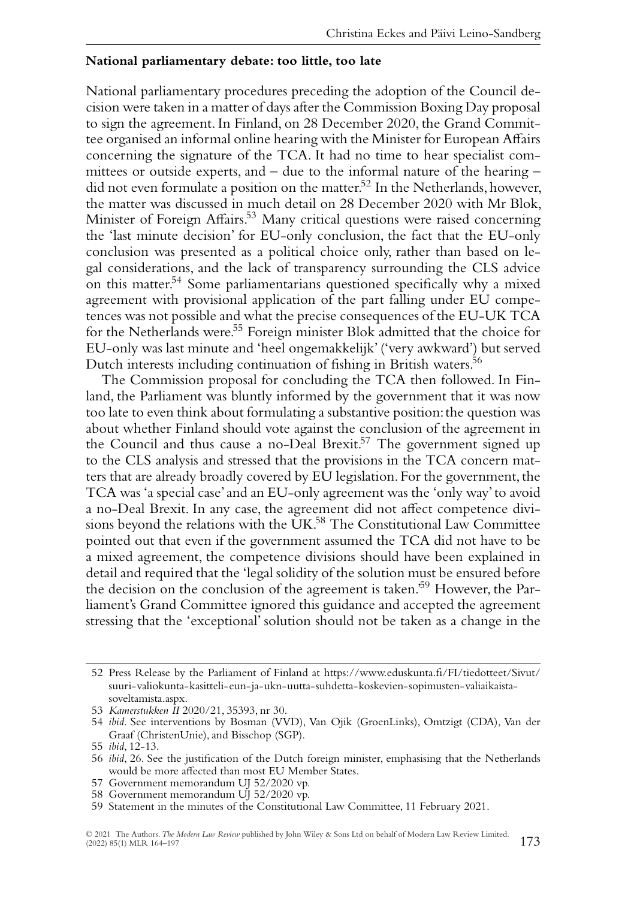#### **National parliamentary debate: too little, too late**

National parliamentary procedures preceding the adoption of the Council decision were taken in a matter of days after the Commission Boxing Day proposal to sign the agreement. In Finland, on 28 December 2020, the Grand Committee organised an informal online hearing with the Minister for European Affairs concerning the signature of the TCA. It had no time to hear specialist committees or outside experts, and – due to the informal nature of the hearing – did not even formulate a position on the matter.<sup>52</sup> In the Netherlands, however, the matter was discussed in much detail on 28 December 2020 with Mr Blok, Minister of Foreign Affairs.<sup>53</sup> Many critical questions were raised concerning the 'last minute decision' for EU-only conclusion, the fact that the EU-only conclusion was presented as a political choice only, rather than based on legal considerations, and the lack of transparency surrounding the CLS advice on this matter.<sup>54</sup> Some parliamentarians questioned specifically why a mixed agreement with provisional application of the part falling under EU competences was not possible and what the precise consequences of the EU-UK TCA for the Netherlands were.55 Foreign minister Blok admitted that the choice for EU-only was last minute and 'heel ongemakkelijk' ('very awkward') but served Dutch interests including continuation of fishing in British waters.<sup>56</sup>

The Commission proposal for concluding the TCA then followed. In Finland, the Parliament was bluntly informed by the government that it was now too late to even think about formulating a substantive position: the question was about whether Finland should vote against the conclusion of the agreement in the Council and thus cause a no-Deal Brexit.<sup>57</sup> The government signed up to the CLS analysis and stressed that the provisions in the TCA concern matters that are already broadly covered by EU legislation. For the government, the TCA was 'a special case' and an EU-only agreement was the 'only way'to avoid a no-Deal Brexit. In any case, the agreement did not affect competence divisions beyond the relations with the UK.<sup>58</sup> The Constitutional Law Committee pointed out that even if the government assumed the TCA did not have to be a mixed agreement, the competence divisions should have been explained in detail and required that the 'legal solidity of the solution must be ensured before the decision on the conclusion of the agreement is taken.'59 However, the Parliament's Grand Committee ignored this guidance and accepted the agreement stressing that the 'exceptional' solution should not be taken as a change in the

57 Government memorandum UJ 52/2020 vp.

<sup>52</sup> Press Release by the Parliament of Finland at [https://www.eduskunta.fi/FI/tiedotteet/Sivut/](https://www.eduskunta.fi/FI/tiedotteet/Sivut/suuri-valiokunta-kasitteli-eun-ja-ukn-uutta-suhdetta-koskevien-sopimusten-valiaikaista-soveltamista.aspx) [suuri-valiokunta-kasitteli-eun-ja-ukn-uutta-suhdetta-koskevien-sopimusten-valiaikaista](https://www.eduskunta.fi/FI/tiedotteet/Sivut/suuri-valiokunta-kasitteli-eun-ja-ukn-uutta-suhdetta-koskevien-sopimusten-valiaikaista-soveltamista.aspx)[soveltamista.aspx.](https://www.eduskunta.fi/FI/tiedotteet/Sivut/suuri-valiokunta-kasitteli-eun-ja-ukn-uutta-suhdetta-koskevien-sopimusten-valiaikaista-soveltamista.aspx)

<sup>53</sup> *Kamerstukken II* 2020/21, 35393, nr 30.

<sup>54</sup> *ibid*. See interventions by Bosman (VVD), Van Ojik (GroenLinks), Omtzigt (CDA), Van der Graaf (ChristenUnie), and Bisschop (SGP).

<sup>55</sup> *ibid*, 12-13.

<sup>56</sup> *ibid*, 26. See the justification of the Dutch foreign minister, emphasising that the Netherlands would be more affected than most EU Member States.

<sup>58</sup> Government memorandum UJ 52/2020 vp.

<sup>59</sup> Statement in the minutes of the Constitutional Law Committee, 11 February 2021.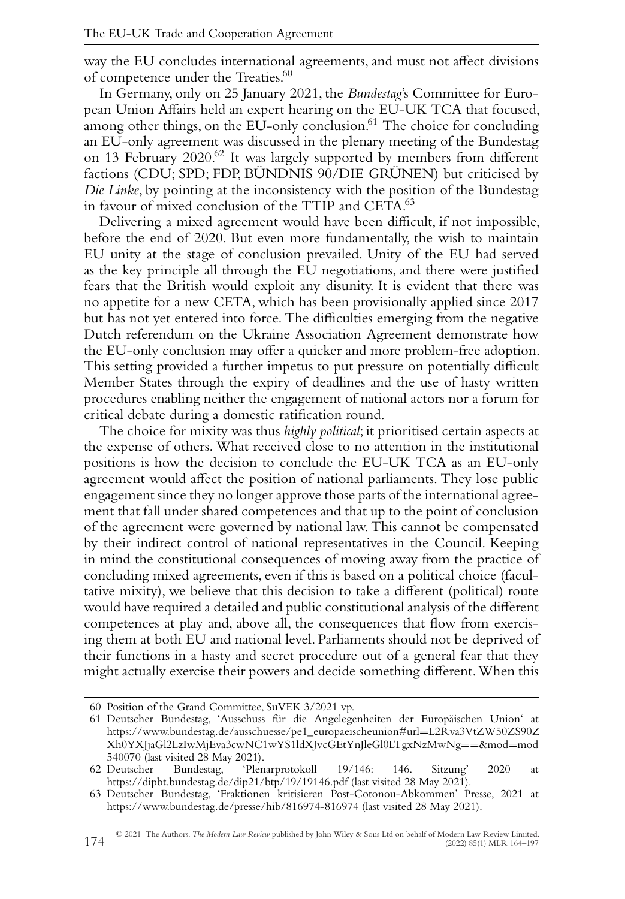way the EU concludes international agreements, and must not affect divisions of competence under the Treaties.<sup>60</sup>

In Germany, only on 25 January 2021, the *Bundestag*'s Committee for European Union Affairs held an expert hearing on the EU-UK TCA that focused, among other things, on the EU-only conclusion.<sup>61</sup> The choice for concluding an EU-only agreement was discussed in the plenary meeting of the Bundestag on 13 February 2020.62 It was largely supported by members from different factions (CDU; SPD; FDP, BÜNDNIS 90/DIE GRÜNEN) but criticised by *Die Linke*, by pointing at the inconsistency with the position of the Bundestag in favour of mixed conclusion of the TTIP and CETA.<sup>63</sup>

Delivering a mixed agreement would have been difficult, if not impossible, before the end of 2020. But even more fundamentally, the wish to maintain EU unity at the stage of conclusion prevailed. Unity of the EU had served as the key principle all through the EU negotiations, and there were justified fears that the British would exploit any disunity. It is evident that there was no appetite for a new CETA, which has been provisionally applied since 2017 but has not yet entered into force. The difficulties emerging from the negative Dutch referendum on the Ukraine Association Agreement demonstrate how the EU-only conclusion may offer a quicker and more problem-free adoption. This setting provided a further impetus to put pressure on potentially difficult Member States through the expiry of deadlines and the use of hasty written procedures enabling neither the engagement of national actors nor a forum for critical debate during a domestic ratification round.

The choice for mixity was thus *highly political*; it prioritised certain aspects at the expense of others. What received close to no attention in the institutional positions is how the decision to conclude the EU-UK TCA as an EU-only agreement would affect the position of national parliaments. They lose public engagement since they no longer approve those parts of the international agreement that fall under shared competences and that up to the point of conclusion of the agreement were governed by national law. This cannot be compensated by their indirect control of national representatives in the Council. Keeping in mind the constitutional consequences of moving away from the practice of concluding mixed agreements, even if this is based on a political choice (facultative mixity), we believe that this decision to take a different (political) route would have required a detailed and public constitutional analysis of the different competences at play and, above all, the consequences that flow from exercising them at both EU and national level. Parliaments should not be deprived of their functions in a hasty and secret procedure out of a general fear that they might actually exercise their powers and decide something different.When this

<sup>60</sup> Position of the Grand Committee, SuVEK 3/2021 vp.

<sup>61</sup> Deutscher Bundestag, 'Ausschuss für die Angelegenheiten der Europäischen Union' at [https://www.bundestag.de/ausschuesse/pe1\\_europaeischeunion#url](https://www.bundestag.de/ausschuesse/pe1_europaeischeunion#url=L2Rva3VtZW50ZS90ZXh0YXJjaGl2LzIwMjEva3cwNC1wYS1ldXJvcGEtYnJleGl0LTgxNzMwNg==&mod=mod540070)=L2Rva3VtZW50ZS90Z [Xh0YXJjaGl2LzIwMjEva3cwNC1wYS1ldXJvcGEtYnJleGl0LTgxNzMwNg](https://www.bundestag.de/ausschuesse/pe1_europaeischeunion#url=L2Rva3VtZW50ZS90ZXh0YXJjaGl2LzIwMjEva3cwNC1wYS1ldXJvcGEtYnJleGl0LTgxNzMwNg==&mod=mod540070)==&mod=mod [540070](https://www.bundestag.de/ausschuesse/pe1_europaeischeunion#url=L2Rva3VtZW50ZS90ZXh0YXJjaGl2LzIwMjEva3cwNC1wYS1ldXJvcGEtYnJleGl0LTgxNzMwNg==&mod=mod540070) (last visited 28 May 2021).<br>62 Deutscher Bundestag, 'Plen

<sup>62</sup> Deutscher Bundestag, 'Plenarprotokoll 19/146: 146. Sitzung' 2020 at <https://dipbt.bundestag.de/dip21/btp/19/19146.pdf> (last visited 28 May 2021).

<sup>63</sup> Deutscher Bundestag, 'Fraktionen kritisieren Post-Cotonou-Abkommen' Presse, 2021 at <https://www.bundestag.de/presse/hib/816974-816974> (last visited 28 May 2021).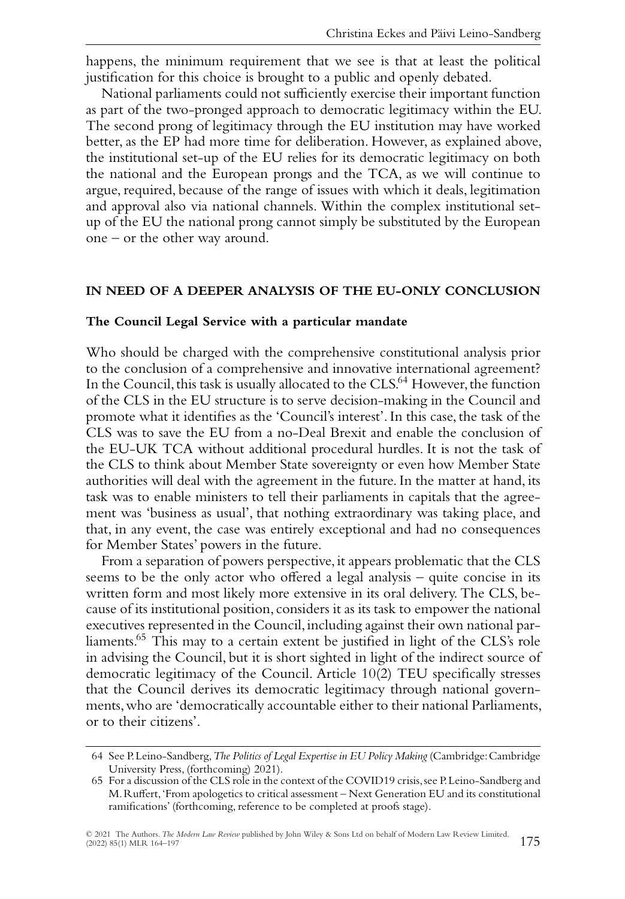happens, the minimum requirement that we see is that at least the political justification for this choice is brought to a public and openly debated.

National parliaments could not sufficiently exercise their important function as part of the two-pronged approach to democratic legitimacy within the EU. The second prong of legitimacy through the EU institution may have worked better, as the EP had more time for deliberation. However, as explained above, the institutional set-up of the EU relies for its democratic legitimacy on both the national and the European prongs and the TCA, as we will continue to argue, required, because of the range of issues with which it deals, legitimation and approval also via national channels. Within the complex institutional setup of the EU the national prong cannot simply be substituted by the European one – or the other way around.

#### **IN NEED OF A DEEPER ANALYSIS OF THE EU-ONLY CONCLUSION**

#### **The Council Legal Service with a particular mandate**

Who should be charged with the comprehensive constitutional analysis prior to the conclusion of a comprehensive and innovative international agreement? In the Council, this task is usually allocated to the CLS.<sup>64</sup> However, the function of the CLS in the EU structure is to serve decision-making in the Council and promote what it identifies as the 'Council's interest'. In this case, the task of the CLS was to save the EU from a no-Deal Brexit and enable the conclusion of the EU-UK TCA without additional procedural hurdles. It is not the task of the CLS to think about Member State sovereignty or even how Member State authorities will deal with the agreement in the future. In the matter at hand, its task was to enable ministers to tell their parliaments in capitals that the agreement was 'business as usual', that nothing extraordinary was taking place, and that, in any event, the case was entirely exceptional and had no consequences for Member States' powers in the future.

From a separation of powers perspective, it appears problematic that the CLS seems to be the only actor who offered a legal analysis – quite concise in its written form and most likely more extensive in its oral delivery. The CLS, because of its institutional position, considers it as its task to empower the national executives represented in the Council, including against their own national parliaments.<sup>65</sup> This may to a certain extent be justified in light of the CLS's role in advising the Council, but it is short sighted in light of the indirect source of democratic legitimacy of the Council. Article 10(2) TEU specifically stresses that the Council derives its democratic legitimacy through national governments,who are 'democratically accountable either to their national Parliaments, or to their citizens'.

<sup>64</sup> See P.Leino-Sandberg,*The Politics of Legal Expertise in EU Policy Making* (Cambridge:Cambridge University Press, (forthcoming) 2021).

<sup>65</sup> For a discussion of the CLS role in the context of the COVID19 crisis, see P.Leino-Sandberg and M.Ruffert,'From apologetics to critical assessment – Next Generation EU and its constitutional ramifications' (forthcoming, reference to be completed at proofs stage).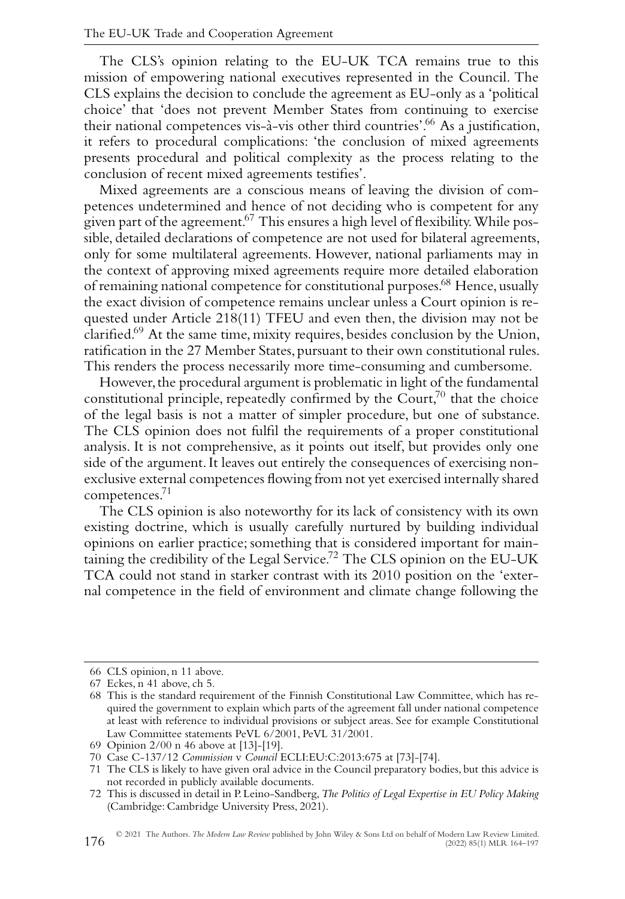The CLS's opinion relating to the EU-UK TCA remains true to this mission of empowering national executives represented in the Council. The CLS explains the decision to conclude the agreement as EU-only as a 'political choice' that 'does not prevent Member States from continuing to exercise their national competences vis-à-vis other third countries'.<sup>66</sup> As a justification, it refers to procedural complications: 'the conclusion of mixed agreements presents procedural and political complexity as the process relating to the conclusion of recent mixed agreements testifies'.

Mixed agreements are a conscious means of leaving the division of competences undetermined and hence of not deciding who is competent for any given part of the agreement.<sup>67</sup> This ensures a high level of flexibility. While possible, detailed declarations of competence are not used for bilateral agreements, only for some multilateral agreements. However, national parliaments may in the context of approving mixed agreements require more detailed elaboration of remaining national competence for constitutional purposes.<sup>68</sup> Hence, usually the exact division of competence remains unclear unless a Court opinion is requested under Article 218(11) TFEU and even then, the division may not be clarified.69 At the same time, mixity requires, besides conclusion by the Union, ratification in the 27 Member States, pursuant to their own constitutional rules. This renders the process necessarily more time-consuming and cumbersome.

However, the procedural argument is problematic in light of the fundamental constitutional principle, repeatedly confirmed by the  $C$ ourt, $7<sup>0</sup>$  that the choice of the legal basis is not a matter of simpler procedure, but one of substance. The CLS opinion does not fulfil the requirements of a proper constitutional analysis. It is not comprehensive, as it points out itself, but provides only one side of the argument. It leaves out entirely the consequences of exercising nonexclusive external competences flowing from not yet exercised internally shared competences.<sup>71</sup>

The CLS opinion is also noteworthy for its lack of consistency with its own existing doctrine, which is usually carefully nurtured by building individual opinions on earlier practice; something that is considered important for maintaining the credibility of the Legal Service.<sup>72</sup> The CLS opinion on the EU-UK TCA could not stand in starker contrast with its 2010 position on the 'external competence in the field of environment and climate change following the

<sup>66</sup> CLS opinion, n 11 above.

<sup>67</sup> Eckes, n 41 above, ch 5.

<sup>68</sup> This is the standard requirement of the Finnish Constitutional Law Committee, which has required the government to explain which parts of the agreement fall under national competence at least with reference to individual provisions or subject areas. See for example Constitutional Law Committee statements PeVL 6/2001, PeVL 31/2001.

<sup>69</sup> Opinion 2/00 n 46 above at [13]-[19].

<sup>70</sup> Case C-137/12 *Commission* v *Council* ECLI:EU:C:2013:675 at [73]-[74].

<sup>71</sup> The CLS is likely to have given oral advice in the Council preparatory bodies, but this advice is not recorded in publicly available documents.

<sup>72</sup> This is discussed in detail in P. Leino-Sandberg,*The Politics of Legal Expertise in EU Policy Making* (Cambridge: Cambridge University Press, 2021).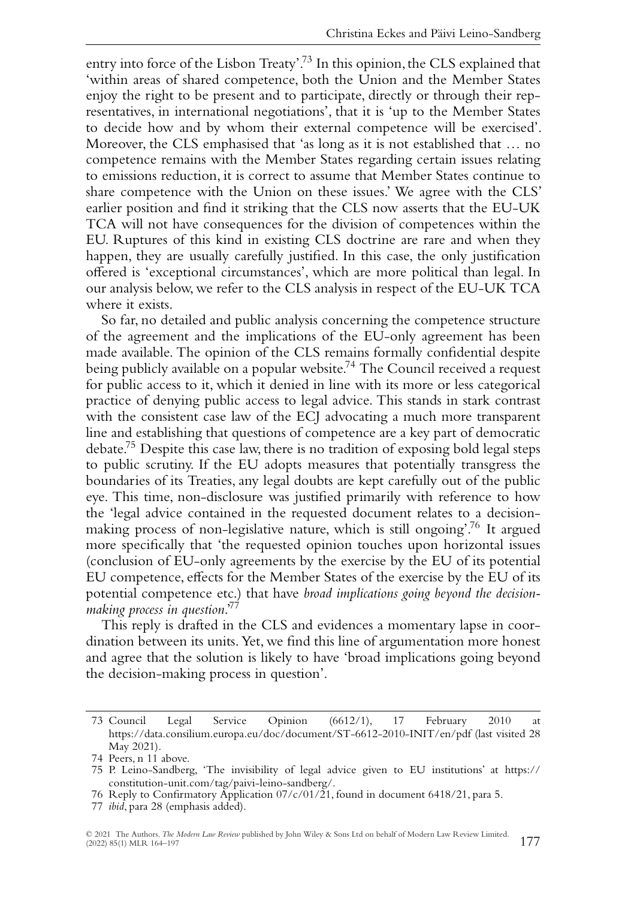entry into force of the Lisbon Treaty'.<sup>73</sup> In this opinion, the CLS explained that 'within areas of shared competence, both the Union and the Member States enjoy the right to be present and to participate, directly or through their representatives, in international negotiations', that it is 'up to the Member States to decide how and by whom their external competence will be exercised'. Moreover, the CLS emphasised that 'as long as it is not established that … no competence remains with the Member States regarding certain issues relating to emissions reduction, it is correct to assume that Member States continue to share competence with the Union on these issues.' We agree with the CLS' earlier position and find it striking that the CLS now asserts that the EU-UK TCA will not have consequences for the division of competences within the EU. Ruptures of this kind in existing CLS doctrine are rare and when they happen, they are usually carefully justified. In this case, the only justification offered is 'exceptional circumstances', which are more political than legal. In our analysis below, we refer to the CLS analysis in respect of the EU-UK TCA where it exists.

So far, no detailed and public analysis concerning the competence structure of the agreement and the implications of the EU-only agreement has been made available. The opinion of the CLS remains formally confidential despite being publicly available on a popular website.<sup>74</sup> The Council received a request for public access to it, which it denied in line with its more or less categorical practice of denying public access to legal advice. This stands in stark contrast with the consistent case law of the ECJ advocating a much more transparent line and establishing that questions of competence are a key part of democratic debate.75 Despite this case law, there is no tradition of exposing bold legal steps to public scrutiny. If the EU adopts measures that potentially transgress the boundaries of its Treaties, any legal doubts are kept carefully out of the public eye. This time, non-disclosure was justified primarily with reference to how the 'legal advice contained in the requested document relates to a decisionmaking process of non-legislative nature, which is still ongoing'.76 It argued more specifically that 'the requested opinion touches upon horizontal issues (conclusion of EU-only agreements by the exercise by the EU of its potential EU competence, effects for the Member States of the exercise by the EU of its potential competence etc.) that have *broad implications going beyond the decisionmaking process in question*.'77

This reply is drafted in the CLS and evidences a momentary lapse in coordination between its units. Yet, we find this line of argumentation more honest and agree that the solution is likely to have 'broad implications going beyond the decision-making process in question'.

<sup>73</sup> Council Legal Service Opinion (6612/1), 17 February 2010 at <https://data.consilium.europa.eu/doc/document/ST-6612-2010-INIT/en/pdf> (last visited 28 May 2021).

<sup>74</sup> Peers, n 11 above.

<sup>75</sup> P. Leino-Sandberg, 'The invisibility of legal advice given to EU institutions' at [https://](https://constitution-unit.com/tag/paivi-leino-sandberg/) [constitution-unit.com/tag/paivi-leino-sandberg/.](https://constitution-unit.com/tag/paivi-leino-sandberg/)

<sup>76</sup> Reply to Confirmatory Application 07/c/01/21, found in document 6418/21, para 5.

<sup>77</sup> *ibid*, para 28 (emphasis added).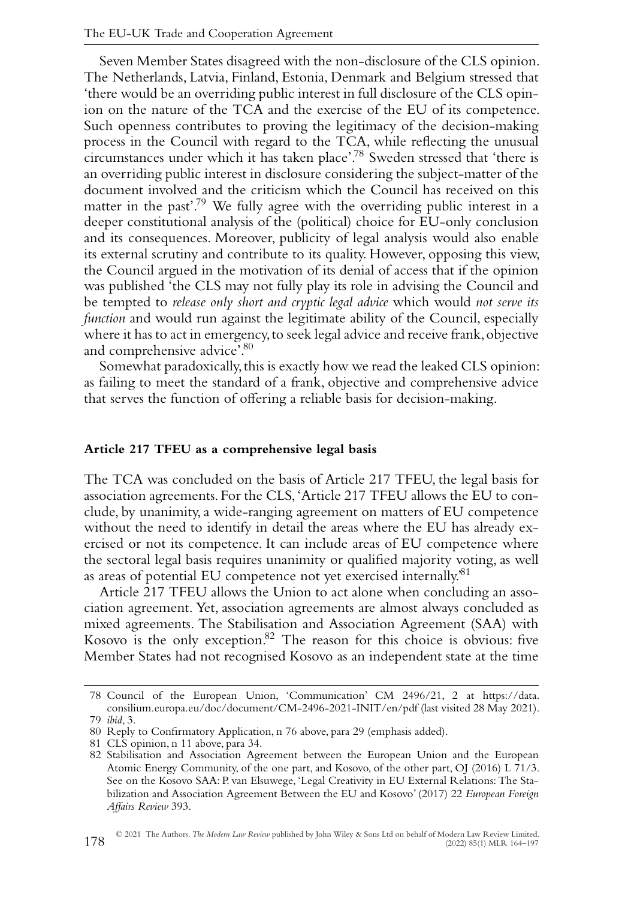Seven Member States disagreed with the non-disclosure of the CLS opinion. The Netherlands, Latvia, Finland, Estonia, Denmark and Belgium stressed that 'there would be an overriding public interest in full disclosure of the CLS opinion on the nature of the TCA and the exercise of the EU of its competence. Such openness contributes to proving the legitimacy of the decision-making process in the Council with regard to the TCA, while reflecting the unusual circumstances under which it has taken place'.78 Sweden stressed that 'there is an overriding public interest in disclosure considering the subject-matter of the document involved and the criticism which the Council has received on this matter in the past'.<sup>79</sup> We fully agree with the overriding public interest in a deeper constitutional analysis of the (political) choice for EU-only conclusion and its consequences. Moreover, publicity of legal analysis would also enable its external scrutiny and contribute to its quality. However, opposing this view, the Council argued in the motivation of its denial of access that if the opinion was published 'the CLS may not fully play its role in advising the Council and be tempted to *release only short and cryptic legal advice* which would *not serve its function* and would run against the legitimate ability of the Council, especially where it has to act in emergency, to seek legal advice and receive frank, objective and comprehensive advice'.<sup>80</sup>

Somewhat paradoxically,this is exactly how we read the leaked CLS opinion: as failing to meet the standard of a frank, objective and comprehensive advice that serves the function of offering a reliable basis for decision-making.

#### **Article 217 TFEU as a comprehensive legal basis**

The TCA was concluded on the basis of Article 217 TFEU, the legal basis for association agreements. For the CLS,'Article 217 TFEU allows the EU to conclude, by unanimity, a wide-ranging agreement on matters of EU competence without the need to identify in detail the areas where the EU has already exercised or not its competence. It can include areas of EU competence where the sectoral legal basis requires unanimity or qualified majority voting, as well as areas of potential EU competence not yet exercised internally.'81

Article 217 TFEU allows the Union to act alone when concluding an association agreement. Yet, association agreements are almost always concluded as mixed agreements. The Stabilisation and Association Agreement (SAA) with Kosovo is the only exception.82 The reason for this choice is obvious: five Member States had not recognised Kosovo as an independent state at the time

<sup>78</sup> Council of the European Union, 'Communication' CM 2496/21, 2 at [https://data.](https://data.consilium.europa.eu/doc/document/CM-2496-2021-INIT/en/pdf) [consilium.europa.eu/doc/document/CM-2496-2021-INIT/en/pdf](https://data.consilium.europa.eu/doc/document/CM-2496-2021-INIT/en/pdf) (last visited 28 May 2021). 79 *ibid*, 3.

<sup>80</sup> Reply to Confirmatory Application, n 76 above, para 29 (emphasis added).

<sup>81</sup> CLS opinion, n 11 above, para 34.

<sup>82</sup> Stabilisation and Association Agreement between the European Union and the European Atomic Energy Community, of the one part, and Kosovo, of the other part, OJ (2016) L 71/3. See on the Kosovo SAA: P. van Elsuwege, 'Legal Creativity in EU External Relations: The Stabilization and Association Agreement Between the EU and Kosovo' (2017) 22 *European Foreign Affairs Review* 393.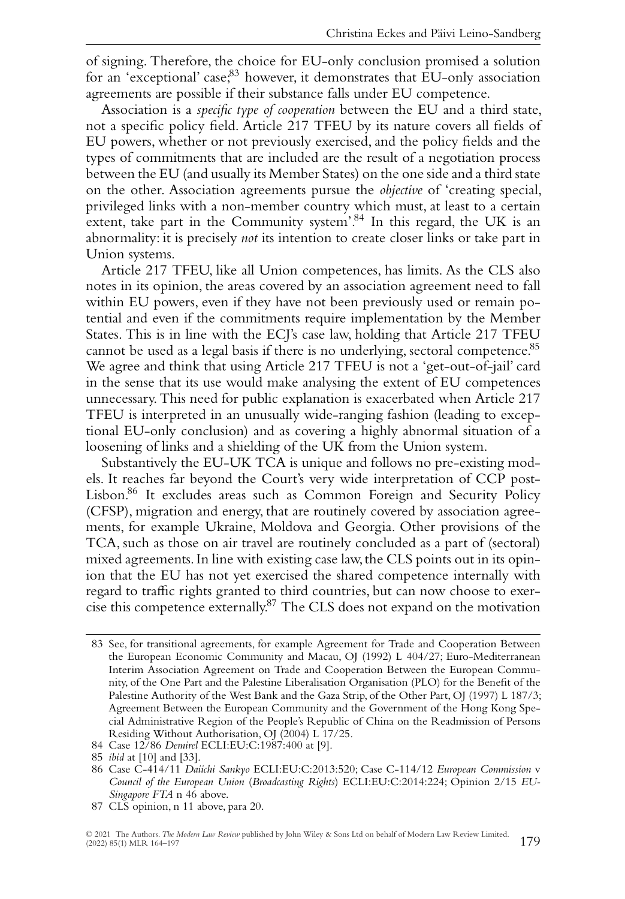of signing. Therefore, the choice for EU-only conclusion promised a solution for an 'exceptional' case, <sup>83</sup> however, it demonstrates that EU-only association agreements are possible if their substance falls under EU competence.

Association is a *specific type of cooperation* between the EU and a third state, not a specific policy field. Article 217 TFEU by its nature covers all fields of EU powers, whether or not previously exercised, and the policy fields and the types of commitments that are included are the result of a negotiation process between the EU (and usually its Member States) on the one side and a third state on the other. Association agreements pursue the *objective* of 'creating special, privileged links with a non-member country which must, at least to a certain extent, take part in the Community system'.<sup>84</sup> In this regard, the UK is an abnormality: it is precisely *not* its intention to create closer links or take part in Union systems.

Article 217 TFEU, like all Union competences, has limits. As the CLS also notes in its opinion, the areas covered by an association agreement need to fall within EU powers, even if they have not been previously used or remain potential and even if the commitments require implementation by the Member States. This is in line with the ECJ's case law, holding that Article 217 TFEU cannot be used as a legal basis if there is no underlying, sectoral competence.<sup>85</sup> We agree and think that using Article 217 TFEU is not a 'get-out-of-jail' card in the sense that its use would make analysing the extent of EU competences unnecessary. This need for public explanation is exacerbated when Article 217 TFEU is interpreted in an unusually wide-ranging fashion (leading to exceptional EU-only conclusion) and as covering a highly abnormal situation of a loosening of links and a shielding of the UK from the Union system.

Substantively the EU-UK TCA is unique and follows no pre-existing models. It reaches far beyond the Court's very wide interpretation of CCP post-Lisbon.86 It excludes areas such as Common Foreign and Security Policy (CFSP), migration and energy, that are routinely covered by association agreements, for example Ukraine, Moldova and Georgia. Other provisions of the TCA, such as those on air travel are routinely concluded as a part of (sectoral) mixed agreements. In line with existing case law,the CLS points out in its opinion that the EU has not yet exercised the shared competence internally with regard to traffic rights granted to third countries, but can now choose to exercise this competence externally.87 The CLS does not expand on the motivation

<sup>83</sup> See, for transitional agreements, for example Agreement for Trade and Cooperation Between the European Economic Community and Macau, OJ (1992) L 404/27; Euro-Mediterranean Interim Association Agreement on Trade and Cooperation Between the European Community, of the One Part and the Palestine Liberalisation Organisation (PLO) for the Benefit of the Palestine Authority of the West Bank and the Gaza Strip, of the Other Part, OJ (1997) L 187/3; Agreement Between the European Community and the Government of the Hong Kong Special Administrative Region of the People's Republic of China on the Readmission of Persons Residing Without Authorisation, OJ (2004) L 17/25.

<sup>84</sup> Case 12/86 *Demirel* ECLI:EU:C:1987:400 at [9].

<sup>85</sup> *ibid* at [10] and [33].

<sup>86</sup> Case C-414/11 *Daiichi Sankyo* ECLI:EU:C:2013:520; Case C-114/12 *European Commission* v *Council of the European Union* (*Broadcasting Rights*) ECLI:EU:C:2014:224; Opinion 2/15 *EU-Singapore FTA* n 46 above.

<sup>87</sup> CLS opinion, n 11 above, para 20.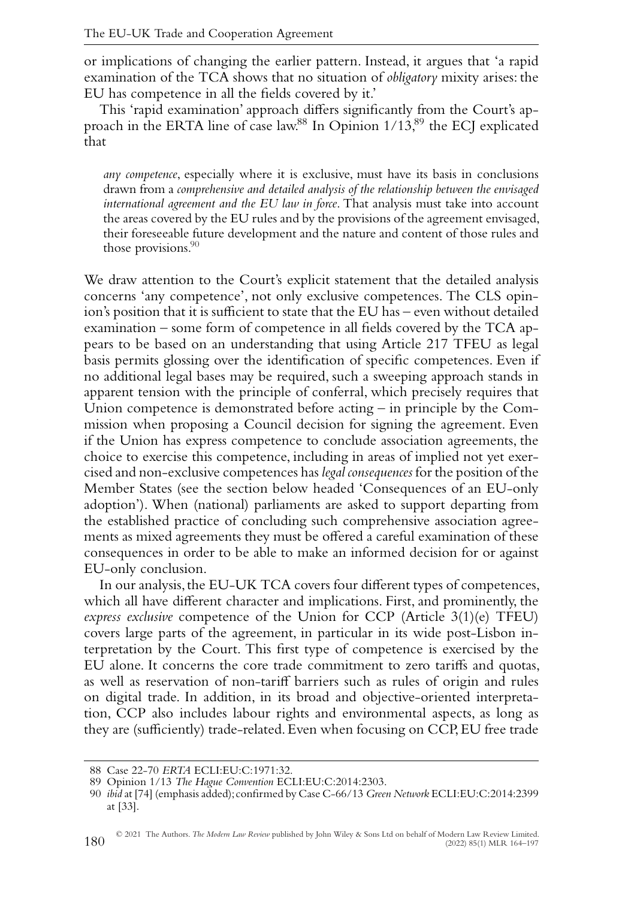or implications of changing the earlier pattern. Instead, it argues that 'a rapid examination of the TCA shows that no situation of *obligatory* mixity arises: the EU has competence in all the fields covered by it.'

This 'rapid examination' approach differs significantly from the Court's approach in the ERTA line of case law.<sup>88</sup> In Opinion 1/13,<sup>89</sup> the ECJ explicated that

*any competence*, especially where it is exclusive, must have its basis in conclusions drawn from a *comprehensive and detailed analysis of the relationship between the envisaged international agreement and the EU law in force*. That analysis must take into account the areas covered by the EU rules and by the provisions of the agreement envisaged, their foreseeable future development and the nature and content of those rules and those provisions. $90$ 

We draw attention to the Court's explicit statement that the detailed analysis concerns 'any competence', not only exclusive competences. The CLS opinion's position that it is sufficient to state that the EU has – even without detailed examination – some form of competence in all fields covered by the TCA appears to be based on an understanding that using Article 217 TFEU as legal basis permits glossing over the identification of specific competences. Even if no additional legal bases may be required, such a sweeping approach stands in apparent tension with the principle of conferral, which precisely requires that Union competence is demonstrated before acting – in principle by the Commission when proposing a Council decision for signing the agreement. Even if the Union has express competence to conclude association agreements, the choice to exercise this competence, including in areas of implied not yet exercised and non-exclusive competences has *legal consequences* for the position of the Member States (see the section below headed 'Consequences of an EU-only adoption'). When (national) parliaments are asked to support departing from the established practice of concluding such comprehensive association agreements as mixed agreements they must be offered a careful examination of these consequences in order to be able to make an informed decision for or against EU-only conclusion.

In our analysis, the EU-UK TCA covers four different types of competences, which all have different character and implications. First, and prominently, the *express exclusive* competence of the Union for CCP (Article 3(1)(e) TFEU) covers large parts of the agreement, in particular in its wide post-Lisbon interpretation by the Court. This first type of competence is exercised by the EU alone. It concerns the core trade commitment to zero tariffs and quotas, as well as reservation of non-tariff barriers such as rules of origin and rules on digital trade. In addition, in its broad and objective-oriented interpretation, CCP also includes labour rights and environmental aspects, as long as they are (sufficiently) trade-related. Even when focusing on CCP, EU free trade

<sup>88</sup> Case 22-70 *ERTA* ECLI:EU:C:1971:32.

<sup>89</sup> Opinion 1/13 *The Hague Convention* ECLI:EU:C:2014:2303.

<sup>90</sup> *ibid* at [74] (emphasis added);confirmed by Case C-66/13 *Green Network* ECLI:EU:C:2014:2399 at [33].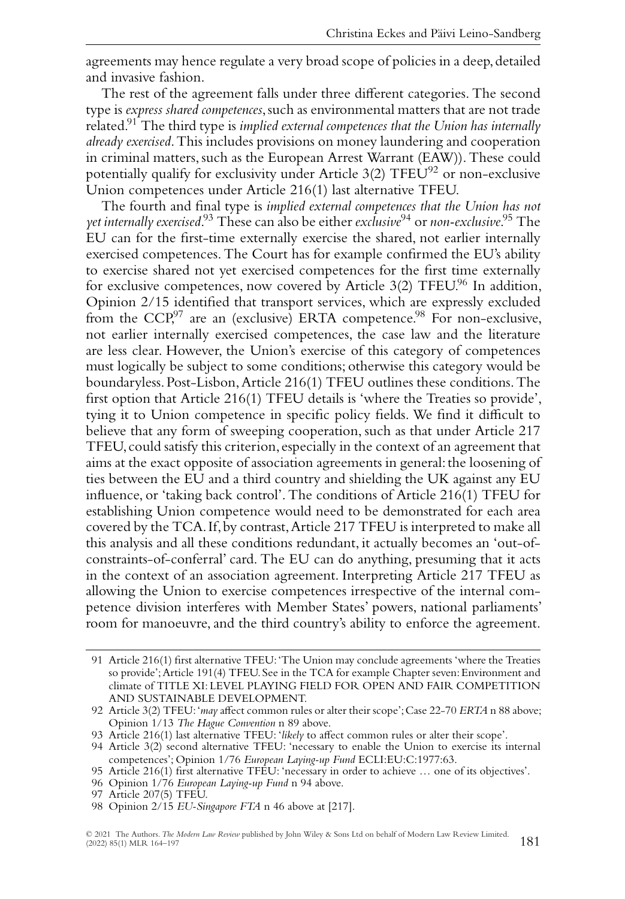agreements may hence regulate a very broad scope of policies in a deep, detailed and invasive fashion.

The rest of the agreement falls under three different categories. The second type is *express shared competences*, such as environmental matters that are not trade related.91 The third type is *implied external competences that the Union has internally already exercised*.This includes provisions on money laundering and cooperation in criminal matters, such as the European Arrest Warrant (EAW)). These could potentially qualify for exclusivity under Article  $3(2)$  TFEU<sup>92</sup> or non-exclusive Union competences under Article 216(1) last alternative TFEU.

The fourth and final type is *implied external competences that the Union has not yet internally exercised*. <sup>93</sup> These can also be either *exclusive*<sup>94</sup> or *non-exclusive*. <sup>95</sup> The EU can for the first-time externally exercise the shared, not earlier internally exercised competences. The Court has for example confirmed the EU's ability to exercise shared not yet exercised competences for the first time externally for exclusive competences, now covered by Article  $3(2)$  TFEU.<sup>96</sup> In addition, Opinion 2/15 identified that transport services, which are expressly excluded from the  $CCP<sub>1</sub><sup>97</sup>$  are an (exclusive) ERTA competence.<sup>98</sup> For non-exclusive, not earlier internally exercised competences, the case law and the literature are less clear. However, the Union's exercise of this category of competences must logically be subject to some conditions; otherwise this category would be boundaryless. Post-Lisbon,Article 216(1) TFEU outlines these conditions.The first option that Article 216(1) TFEU details is 'where the Treaties so provide', tying it to Union competence in specific policy fields. We find it difficult to believe that any form of sweeping cooperation, such as that under Article 217 TFEU, could satisfy this criterion, especially in the context of an agreement that aims at the exact opposite of association agreements in general: the loosening of ties between the EU and a third country and shielding the UK against any EU influence, or 'taking back control'. The conditions of Article 216(1) TFEU for establishing Union competence would need to be demonstrated for each area covered by the TCA. If, by contrast,Article 217 TFEU is interpreted to make all this analysis and all these conditions redundant, it actually becomes an 'out-ofconstraints-of-conferral' card. The EU can do anything, presuming that it acts in the context of an association agreement. Interpreting Article 217 TFEU as allowing the Union to exercise competences irrespective of the internal competence division interferes with Member States' powers, national parliaments' room for manoeuvre, and the third country's ability to enforce the agreement.

<sup>91</sup> Article 216(1) first alternative TFEU:'The Union may conclude agreements 'where the Treaties so provide';Article 191(4) TFEU. See in the TCA for example Chapter seven: Environment and climate of TITLE XI: LEVEL PLAYING FIELD FOR OPEN AND FAIR COMPETITION AND SUSTAINABLE DEVELOPMENT.

<sup>92</sup> Article 3(2) TFEU:'*may* affect common rules or alter their scope';Case 22-70 *ERTA* n 88 above; Opinion 1/13 *The Hague Convention* n 89 above.

<sup>93</sup> Article 216(1) last alternative TFEU: '*likely* to affect common rules or alter their scope'.

<sup>94</sup> Article 3(2) second alternative TFEU: 'necessary to enable the Union to exercise its internal competences'; Opinion 1/76 *European Laying-up Fund* ECLI:EU:C:1977:63.

<sup>95</sup> Article 216(1) first alternative TFEU: 'necessary in order to achieve … one of its objectives'.

<sup>96</sup> Opinion 1/76 *European Laying-up Fund* n 94 above.

<sup>97</sup> Article 207(5) TFEU.

<sup>98</sup> Opinion 2/15 *EU-Singapore FTA* n 46 above at [217].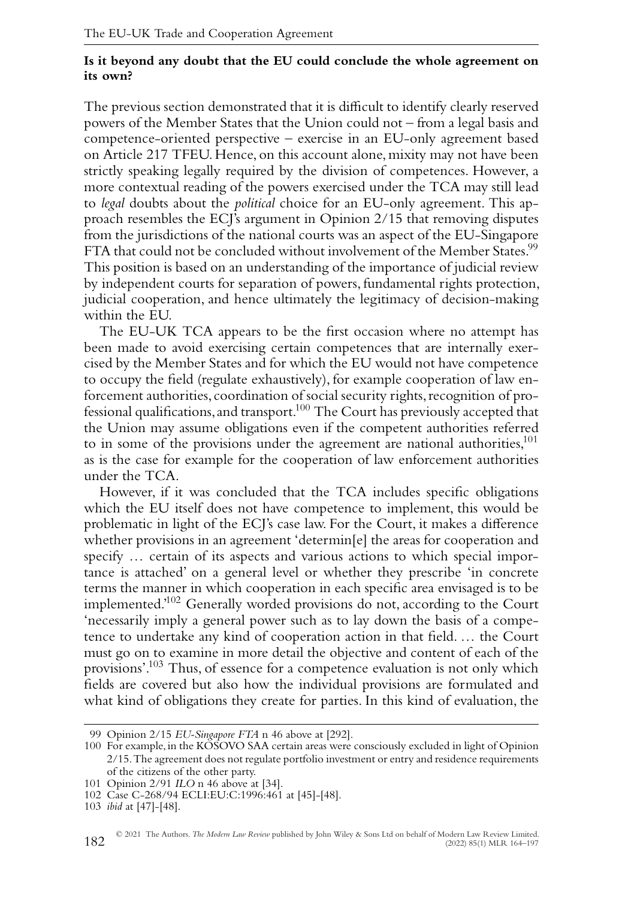#### **Is it beyond any doubt that the EU could conclude the whole agreement on its own?**

The previous section demonstrated that it is difficult to identify clearly reserved powers of the Member States that the Union could not – from a legal basis and competence-oriented perspective – exercise in an EU-only agreement based on Article 217 TFEU. Hence, on this account alone, mixity may not have been strictly speaking legally required by the division of competences. However, a more contextual reading of the powers exercised under the TCA may still lead to *legal* doubts about the *political* choice for an EU-only agreement. This approach resembles the ECJ's argument in Opinion 2/15 that removing disputes from the jurisdictions of the national courts was an aspect of the EU-Singapore FTA that could not be concluded without involvement of the Member States.<sup>99</sup> This position is based on an understanding of the importance of judicial review by independent courts for separation of powers, fundamental rights protection, judicial cooperation, and hence ultimately the legitimacy of decision-making within the EU.

The EU-UK TCA appears to be the first occasion where no attempt has been made to avoid exercising certain competences that are internally exercised by the Member States and for which the EU would not have competence to occupy the field (regulate exhaustively), for example cooperation of law enforcement authorities, coordination of social security rights, recognition of professional qualifications, and transport.100 The Court has previously accepted that the Union may assume obligations even if the competent authorities referred to in some of the provisions under the agreement are national authorities,<sup>101</sup> as is the case for example for the cooperation of law enforcement authorities under the TCA.

However, if it was concluded that the TCA includes specific obligations which the EU itself does not have competence to implement, this would be problematic in light of the ECJ's case law. For the Court, it makes a difference whether provisions in an agreement 'determin[e] the areas for cooperation and specify … certain of its aspects and various actions to which special importance is attached' on a general level or whether they prescribe 'in concrete terms the manner in which cooperation in each specific area envisaged is to be implemented.'102 Generally worded provisions do not, according to the Court 'necessarily imply a general power such as to lay down the basis of a competence to undertake any kind of cooperation action in that field. … the Court must go on to examine in more detail the objective and content of each of the provisions'.103 Thus, of essence for a competence evaluation is not only which fields are covered but also how the individual provisions are formulated and what kind of obligations they create for parties. In this kind of evaluation, the

<sup>99</sup> Opinion 2/15 *EU-Singapore FTA* n 46 above at [292].

<sup>100</sup> For example, in the KOSOVO SAA certain areas were consciously excluded in light of Opinion 2/15.The agreement does not regulate portfolio investment or entry and residence requirements of the citizens of the other party.

<sup>101</sup> Opinion 2/91 *ILO* n 46 above at [34].

<sup>102</sup> Case C-268/94 ECLI:EU:C:1996:461 at [45]-[48].

<sup>103</sup> *ibid* at [47]-[48].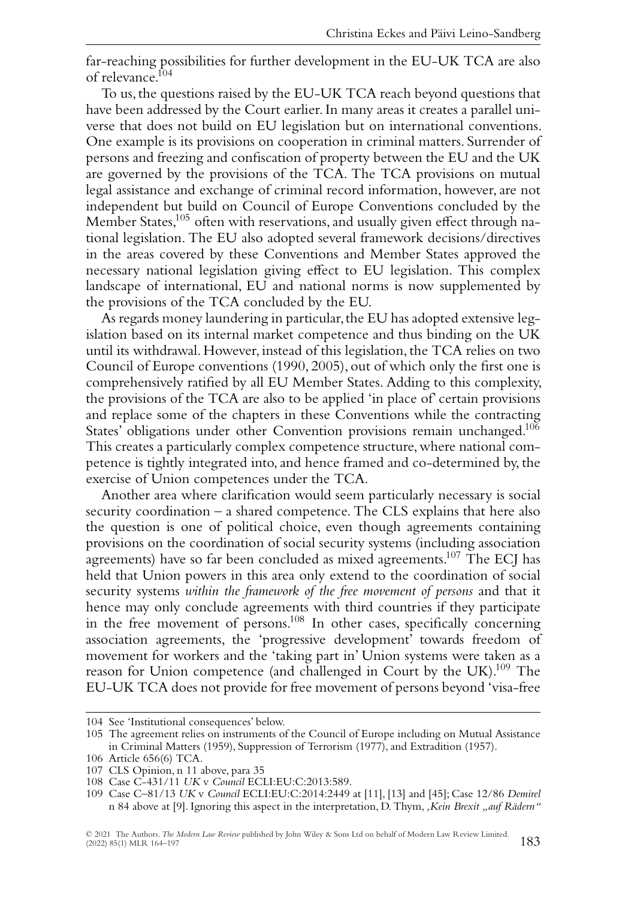far-reaching possibilities for further development in the EU-UK TCA are also of relevance.104

To us,the questions raised by the EU-UK TCA reach beyond questions that have been addressed by the Court earlier. In many areas it creates a parallel universe that does not build on EU legislation but on international conventions. One example is its provisions on cooperation in criminal matters. Surrender of persons and freezing and confiscation of property between the EU and the UK are governed by the provisions of the TCA. The TCA provisions on mutual legal assistance and exchange of criminal record information, however, are not independent but build on Council of Europe Conventions concluded by the Member States,<sup>105</sup> often with reservations, and usually given effect through national legislation. The EU also adopted several framework decisions/directives in the areas covered by these Conventions and Member States approved the necessary national legislation giving effect to EU legislation. This complex landscape of international, EU and national norms is now supplemented by the provisions of the TCA concluded by the EU.

As regards money laundering in particular, the EU has adopted extensive legislation based on its internal market competence and thus binding on the UK until its withdrawal. However, instead of this legislation, the TCA relies on two Council of Europe conventions (1990, 2005), out of which only the first one is comprehensively ratified by all EU Member States. Adding to this complexity, the provisions of the TCA are also to be applied 'in place of' certain provisions and replace some of the chapters in these Conventions while the contracting States' obligations under other Convention provisions remain unchanged.<sup>106</sup> This creates a particularly complex competence structure, where national competence is tightly integrated into, and hence framed and co-determined by, the exercise of Union competences under the TCA.

Another area where clarification would seem particularly necessary is social security coordination – a shared competence. The CLS explains that here also the question is one of political choice, even though agreements containing provisions on the coordination of social security systems (including association agreements) have so far been concluded as mixed agreements.<sup>107</sup> The ECJ has held that Union powers in this area only extend to the coordination of social security systems *within the framework of the free movement of persons* and that it hence may only conclude agreements with third countries if they participate in the free movement of persons.<sup>108</sup> In other cases, specifically concerning association agreements, the 'progressive development' towards freedom of movement for workers and the 'taking part in' Union systems were taken as a reason for Union competence (and challenged in Court by the UK).<sup>109</sup> The EU-UK TCA does not provide for free movement of persons beyond 'visa-free

<sup>104</sup> See 'Institutional consequences' below.

<sup>105</sup> The agreement relies on instruments of the Council of Europe including on Mutual Assistance in Criminal Matters (1959), Suppression of Terrorism (1977), and Extradition (1957).

<sup>106</sup> Article 656(6) TCA.

<sup>107</sup> CLS Opinion, n 11 above, para 35

<sup>108</sup> Case C-431/11 *UK* v *Council* ECLI:EU:C:2013:589.

<sup>109</sup> Case C–81/13 *UK* v *Council* ECLI:EU:C:2014:2449 at [11], [13] and [45]; Case 12/86 *Demirel* n 84 above at [9]. Ignoring this aspect in the interpretation, D. Thym, *, Kein Brexit "auf Rädern"*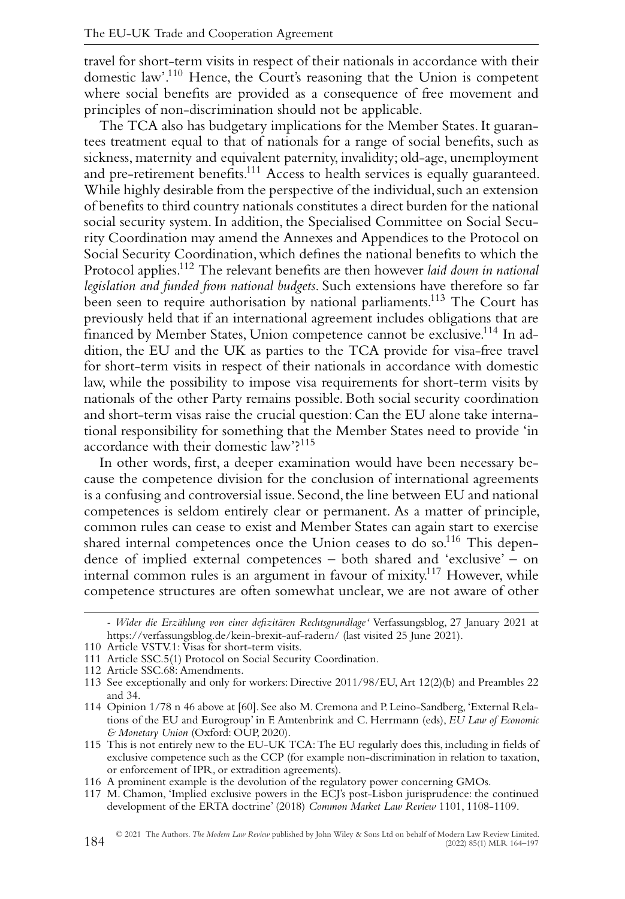travel for short-term visits in respect of their nationals in accordance with their domestic law'.110 Hence, the Court's reasoning that the Union is competent where social benefits are provided as a consequence of free movement and principles of non-discrimination should not be applicable.

The TCA also has budgetary implications for the Member States. It guarantees treatment equal to that of nationals for a range of social benefits, such as sickness, maternity and equivalent paternity, invalidity; old-age, unemployment and pre-retirement benefits.<sup>111</sup> Access to health services is equally guaranteed. While highly desirable from the perspective of the individual, such an extension of benefits to third country nationals constitutes a direct burden for the national social security system. In addition, the Specialised Committee on Social Security Coordination may amend the Annexes and Appendices to the Protocol on Social Security Coordination, which defines the national benefits to which the Protocol applies.112 The relevant benefits are then however *laid down in national legislation and funded from national budgets*. Such extensions have therefore so far been seen to require authorisation by national parliaments.<sup>113</sup> The Court has previously held that if an international agreement includes obligations that are financed by Member States, Union competence cannot be exclusive.114 In addition, the EU and the UK as parties to the TCA provide for visa-free travel for short-term visits in respect of their nationals in accordance with domestic law, while the possibility to impose visa requirements for short-term visits by nationals of the other Party remains possible. Both social security coordination and short-term visas raise the crucial question: Can the EU alone take international responsibility for something that the Member States need to provide 'in accordance with their domestic law'?115

In other words, first, a deeper examination would have been necessary because the competence division for the conclusion of international agreements is a confusing and controversial issue. Second, the line between EU and national competences is seldom entirely clear or permanent. As a matter of principle, common rules can cease to exist and Member States can again start to exercise shared internal competences once the Union ceases to do so.<sup>116</sup> This dependence of implied external competences – both shared and 'exclusive' – on internal common rules is an argument in favour of mixity.117 However, while competence structures are often somewhat unclear, we are not aware of other

*<sup>-</sup> Wider die Erzählung von einer defizitären Rechtsgrundlage'* Verfassungsblog, 27 January 2021 at <https://verfassungsblog.de/kein-brexit-auf-radern/> (last visited 25 June 2021).

<sup>110</sup> Article VSTV.1: Visas for short-term visits.

<sup>111</sup> Article SSC.5(1) Protocol on Social Security Coordination.

<sup>112</sup> Article SSC.68: Amendments.

<sup>113</sup> See exceptionally and only for workers: Directive 2011/98/EU, Art 12(2)(b) and Preambles 22 and 34.

<sup>114</sup> Opinion 1/78 n 46 above at [60]. See also M. Cremona and P. Leino-Sandberg, 'External Relations of the EU and Eurogroup' in F. Amtenbrink and C. Herrmann (eds), *EU Law of Economic & Monetary Union* (Oxford: OUP, 2020).

<sup>115</sup> This is not entirely new to the EU-UK TCA: The EU regularly does this, including in fields of exclusive competence such as the CCP (for example non-discrimination in relation to taxation, or enforcement of IPR, or extradition agreements).

<sup>116</sup> A prominent example is the devolution of the regulatory power concerning GMOs.

<sup>117</sup> M. Chamon, 'Implied exclusive powers in the ECJ's post-Lisbon jurisprudence: the continued development of the ERTA doctrine' (2018) *Common Market Law Review* 1101, 1108-1109.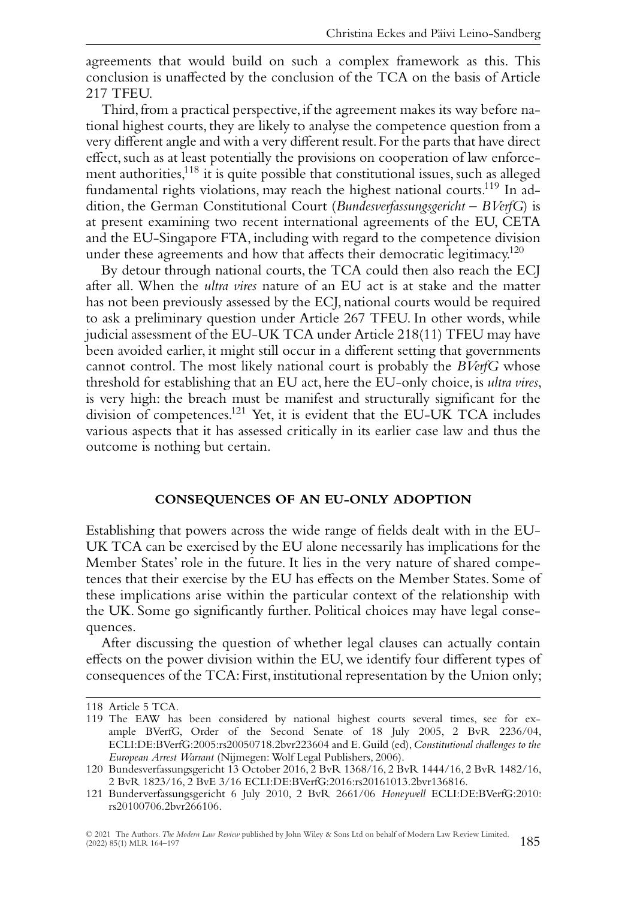agreements that would build on such a complex framework as this. This conclusion is unaffected by the conclusion of the TCA on the basis of Article 217 TFEU.

Third, from a practical perspective, if the agreement makes its way before national highest courts, they are likely to analyse the competence question from a very different angle and with a very different result.For the parts that have direct effect, such as at least potentially the provisions on cooperation of law enforcement authorities,118 it is quite possible that constitutional issues, such as alleged fundamental rights violations, may reach the highest national courts.<sup>119</sup> In addition, the German Constitutional Court (*Bundesverfassungsgericht* – *BVerfG*) is at present examining two recent international agreements of the EU, CETA and the EU-Singapore FTA, including with regard to the competence division under these agreements and how that affects their democratic legitimacy.<sup>120</sup>

By detour through national courts, the TCA could then also reach the ECJ after all. When the *ultra vires* nature of an EU act is at stake and the matter has not been previously assessed by the ECJ, national courts would be required to ask a preliminary question under Article 267 TFEU. In other words, while judicial assessment of the EU-UK TCA under Article 218(11) TFEU may have been avoided earlier, it might still occur in a different setting that governments cannot control. The most likely national court is probably the *BVerfG* whose threshold for establishing that an EU act, here the EU-only choice, is *ultra vires*, is very high: the breach must be manifest and structurally significant for the division of competences.<sup>121</sup> Yet, it is evident that the EU-UK TCA includes various aspects that it has assessed critically in its earlier case law and thus the outcome is nothing but certain.

#### **CONSEQUENCES OF AN EU-ONLY ADOPTION**

Establishing that powers across the wide range of fields dealt with in the EU-UK TCA can be exercised by the EU alone necessarily has implications for the Member States' role in the future. It lies in the very nature of shared competences that their exercise by the EU has effects on the Member States. Some of these implications arise within the particular context of the relationship with the UK. Some go significantly further. Political choices may have legal consequences.

After discussing the question of whether legal clauses can actually contain effects on the power division within the EU, we identify four different types of consequences of the TCA: First, institutional representation by the Union only;

<sup>118</sup> Article 5 TCA.

<sup>119</sup> The EAW has been considered by national highest courts several times, see for example BVerfG, Order of the Second Senate of 18 July 2005, 2 BvR 2236/04, ECLI:DE:BVerfG:2005:rs20050718.2bvr223604 and E. Guild (ed),*Constitutional challenges to the European Arrest Warrant* (Nijmegen: Wolf Legal Publishers, 2006).

<sup>120</sup> Bundesverfassungsgericht 13 October 2016, 2 BvR 1368/16, 2 BvR 1444/16, 2 BvR 1482/16, 2 BvR 1823/16, 2 BvE 3/16 ECLI:DE:BVerfG:2016:rs20161013.2bvr136816.

<sup>121</sup> Bunderverfassungsgericht 6 July 2010, 2 BvR 2661/06 *Honeywell* ECLI:DE:BVerfG:2010: rs20100706.2bvr266106.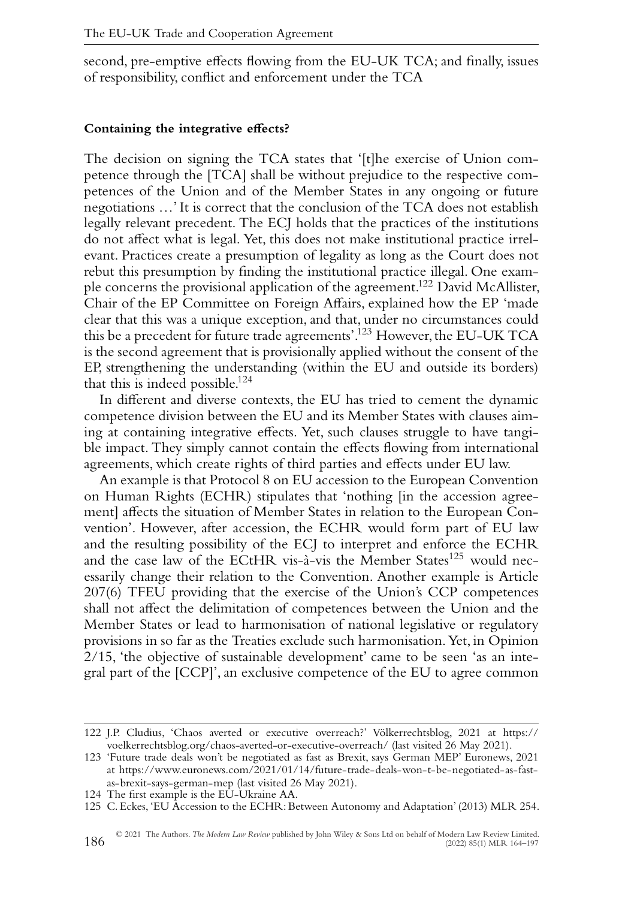second, pre-emptive effects flowing from the EU-UK TCA; and finally, issues of responsibility, conflict and enforcement under the TCA

#### **Containing the integrative effects?**

The decision on signing the TCA states that '[t]he exercise of Union competence through the [TCA] shall be without prejudice to the respective competences of the Union and of the Member States in any ongoing or future negotiations …' It is correct that the conclusion of the TCA does not establish legally relevant precedent. The ECJ holds that the practices of the institutions do not affect what is legal. Yet, this does not make institutional practice irrelevant. Practices create a presumption of legality as long as the Court does not rebut this presumption by finding the institutional practice illegal. One example concerns the provisional application of the agreement.122 David McAllister, Chair of the EP Committee on Foreign Affairs, explained how the EP 'made clear that this was a unique exception, and that, under no circumstances could this be a precedent for future trade agreements'.<sup>123</sup> However, the EU-UK TCA is the second agreement that is provisionally applied without the consent of the EP, strengthening the understanding (within the EU and outside its borders) that this is indeed possible.<sup>124</sup>

In different and diverse contexts, the EU has tried to cement the dynamic competence division between the EU and its Member States with clauses aiming at containing integrative effects. Yet, such clauses struggle to have tangible impact. They simply cannot contain the effects flowing from international agreements, which create rights of third parties and effects under EU law.

An example is that Protocol 8 on EU accession to the European Convention on Human Rights (ECHR) stipulates that 'nothing [in the accession agreement] affects the situation of Member States in relation to the European Convention'. However, after accession, the ECHR would form part of EU law and the resulting possibility of the ECJ to interpret and enforce the ECHR and the case law of the ECtHR vis-à-vis the Member States<sup>125</sup> would necessarily change their relation to the Convention. Another example is Article 207(6) TFEU providing that the exercise of the Union's CCP competences shall not affect the delimitation of competences between the Union and the Member States or lead to harmonisation of national legislative or regulatory provisions in so far as the Treaties exclude such harmonisation. Yet, in Opinion 2/15, 'the objective of sustainable development' came to be seen 'as an integral part of the [CCP]', an exclusive competence of the EU to agree common

<sup>122</sup> J.P. Cludius, 'Chaos averted or executive overreach?' Völkerrechtsblog, 2021 at [https://](https://voelkerrechtsblog.org/chaos-averted-or-executive-overreach/) [voelkerrechtsblog.org/chaos-averted-or-executive-overreach/](https://voelkerrechtsblog.org/chaos-averted-or-executive-overreach/) (last visited 26 May 2021).

<sup>123 &#</sup>x27;Future trade deals won't be negotiated as fast as Brexit, says German MEP' Euronews, 2021 at [https://www.euronews.com/2021/01/14/future-trade-deals-won-t-be-negotiated-as-fast](https://www.euronews.com/2021/01/14/future-trade-deals-won-t-be-negotiated-as-fast-as-brexit-says-german-mep)[as-brexit-says-german-mep](https://www.euronews.com/2021/01/14/future-trade-deals-won-t-be-negotiated-as-fast-as-brexit-says-german-mep) (last visited 26 May 2021).

<sup>124</sup> The first example is the EU-Ukraine AA.

<sup>125</sup> C. Eckes, 'EU Accession to the ECHR: Between Autonomy and Adaptation' (2013) MLR 254.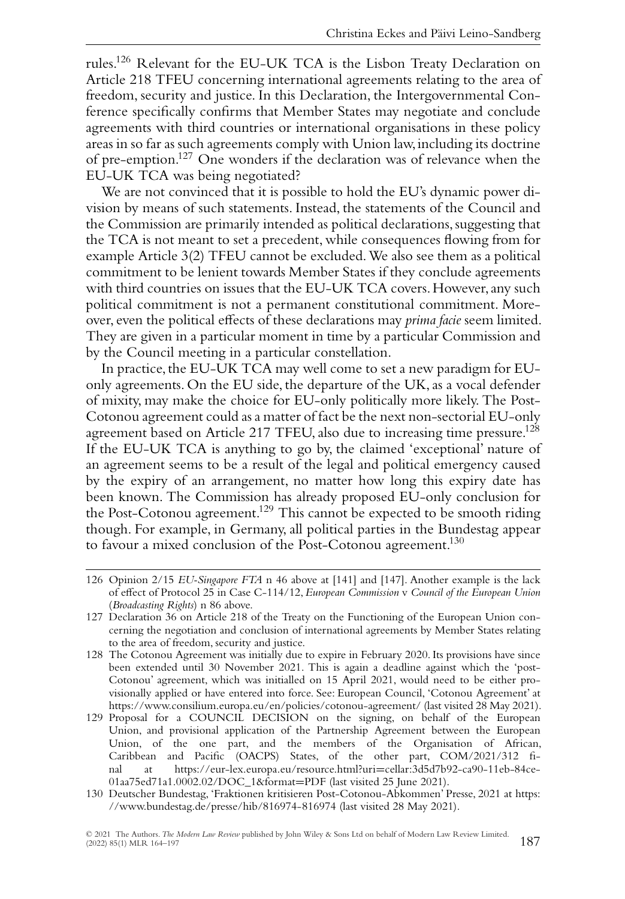rules.126 Relevant for the EU-UK TCA is the Lisbon Treaty Declaration on Article 218 TFEU concerning international agreements relating to the area of freedom, security and justice. In this Declaration, the Intergovernmental Conference specifically confirms that Member States may negotiate and conclude agreements with third countries or international organisations in these policy areas in so far as such agreements comply with Union law,including its doctrine of pre-emption.127 One wonders if the declaration was of relevance when the EU-UK TCA was being negotiated?

We are not convinced that it is possible to hold the EU's dynamic power division by means of such statements. Instead, the statements of the Council and the Commission are primarily intended as political declarations, suggesting that the TCA is not meant to set a precedent, while consequences flowing from for example Article 3(2) TFEU cannot be excluded.We also see them as a political commitment to be lenient towards Member States if they conclude agreements with third countries on issues that the EU-UK TCA covers. However, any such political commitment is not a permanent constitutional commitment. Moreover, even the political effects of these declarations may *prima facie* seem limited. They are given in a particular moment in time by a particular Commission and by the Council meeting in a particular constellation.

In practice, the EU-UK TCA may well come to set a new paradigm for EUonly agreements. On the EU side, the departure of the UK, as a vocal defender of mixity, may make the choice for EU-only politically more likely. The Post-Cotonou agreement could as a matter of fact be the next non-sectorial EU-only agreement based on Article 217 TFEU, also due to increasing time pressure.<sup>128</sup> If the EU-UK TCA is anything to go by, the claimed 'exceptional' nature of an agreement seems to be a result of the legal and political emergency caused by the expiry of an arrangement, no matter how long this expiry date has been known. The Commission has already proposed EU-only conclusion for the Post-Cotonou agreement.<sup>129</sup> This cannot be expected to be smooth riding though. For example, in Germany, all political parties in the Bundestag appear to favour a mixed conclusion of the Post-Cotonou agreement.<sup>130</sup>

<sup>126</sup> Opinion 2/15 *EU-Singapore FTA* n 46 above at [141] and [147]. Another example is the lack of effect of Protocol 25 in Case C-114/12, *European Commission* v *Council of the European Union* (*Broadcasting Rights*) n 86 above.

<sup>127</sup> Declaration 36 on Article 218 of the Treaty on the Functioning of the European Union concerning the negotiation and conclusion of international agreements by Member States relating to the area of freedom, security and justice.

<sup>128</sup> The Cotonou Agreement was initially due to expire in February 2020. Its provisions have since been extended until 30 November 2021. This is again a deadline against which the 'post-Cotonou' agreement, which was initialled on 15 April 2021, would need to be either provisionally applied or have entered into force. See: European Council, 'Cotonou Agreement' at <https://www.consilium.europa.eu/en/policies/cotonou-agreement/> (last visited 28 May 2021).

<sup>129</sup> Proposal for a COUNCIL DECISION on the signing, on behalf of the European Union, and provisional application of the Partnership Agreement between the European Union, of the one part, and the members of the Organisation of African, Caribbean and Pacific (OACPS) States, of the other part, COM/2021/312 final at [https://eur-lex.europa.eu/resource.html?uri](https://eur-lex.europa.eu/resource.html?uri=cellar:3d5d7b92-ca90-11eb-84ce-01aa75ed71a1.0002.02/DOC_1&format=PDF)=cellar:3d5d7b92-ca90-11eb-84ce-[01aa75ed71a1.0002.02/DOC\\_1&format](https://eur-lex.europa.eu/resource.html?uri=cellar:3d5d7b92-ca90-11eb-84ce-01aa75ed71a1.0002.02/DOC_1&format=PDF)=PDF (last visited 25 June 2021).

<sup>130</sup> Deutscher Bundestag, 'Fraktionen kritisieren Post-Cotonou-Abkommen' Presse, 2021 at [https:](https://www.bundestag.de/presse/hib/816974-816974) [//www.bundestag.de/presse/hib/816974-816974](https://www.bundestag.de/presse/hib/816974-816974) (last visited 28 May 2021).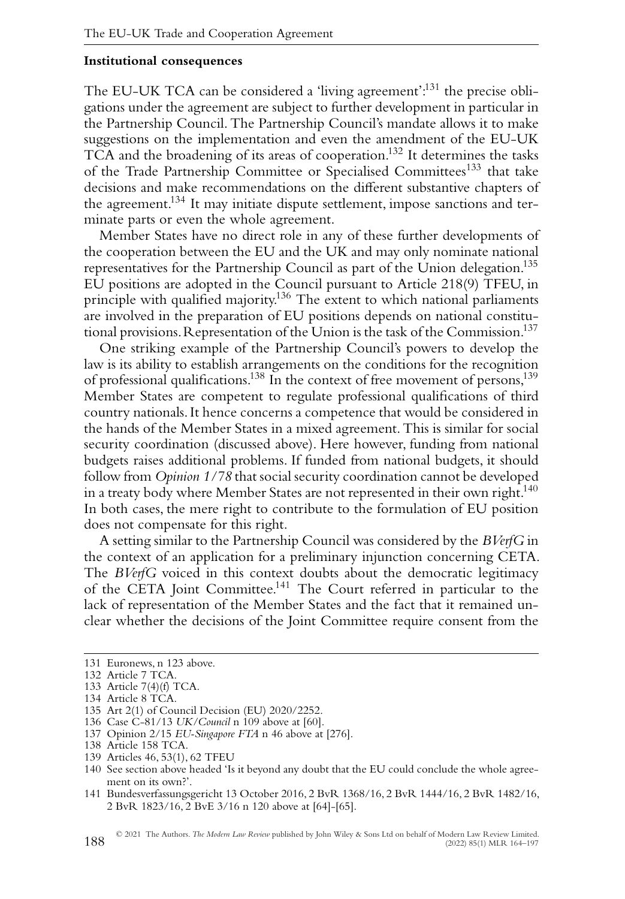#### **Institutional consequences**

The EU-UK TCA can be considered a 'living agreement':<sup>131</sup> the precise obligations under the agreement are subject to further development in particular in the Partnership Council. The Partnership Council's mandate allows it to make suggestions on the implementation and even the amendment of the EU-UK TCA and the broadening of its areas of cooperation.132 It determines the tasks of the Trade Partnership Committee or Specialised Committees<sup>133</sup> that take decisions and make recommendations on the different substantive chapters of the agreement.<sup>134</sup> It may initiate dispute settlement, impose sanctions and terminate parts or even the whole agreement.

Member States have no direct role in any of these further developments of the cooperation between the EU and the UK and may only nominate national representatives for the Partnership Council as part of the Union delegation.<sup>135</sup> EU positions are adopted in the Council pursuant to Article 218(9) TFEU, in principle with qualified majority.<sup>136</sup> The extent to which national parliaments are involved in the preparation of EU positions depends on national constitutional provisions. Representation of the Union is the task of the Commission.<sup>137</sup>

One striking example of the Partnership Council's powers to develop the law is its ability to establish arrangements on the conditions for the recognition of professional qualifications.138 In the context of free movement of persons,139 Member States are competent to regulate professional qualifications of third country nationals. It hence concerns a competence that would be considered in the hands of the Member States in a mixed agreement. This is similar for social security coordination (discussed above). Here however, funding from national budgets raises additional problems. If funded from national budgets, it should follow from *Opinion 1/78* that social security coordination cannot be developed in a treaty body where Member States are not represented in their own right.<sup>140</sup> In both cases, the mere right to contribute to the formulation of EU position does not compensate for this right.

A setting similar to the Partnership Council was considered by the *BVerfG* in the context of an application for a preliminary injunction concerning CETA. The *BVerfG* voiced in this context doubts about the democratic legitimacy of the CETA Joint Committee.141 The Court referred in particular to the lack of representation of the Member States and the fact that it remained unclear whether the decisions of the Joint Committee require consent from the

- 136 Case C-81/13 *UK/Council* n 109 above at [60].
- 137 Opinion 2/15 *EU-Singapore FTA* n 46 above at [276].
- 138 Article 158 TCA. 139 Articles 46, 53(1), 62 TFEU
- 140 See section above headed 'Is it beyond any doubt that the EU could conclude the whole agreement on its own?'.
- 141 Bundesverfassungsgericht 13 October 2016, 2 BvR 1368/16, 2 BvR 1444/16, 2 BvR 1482/16, 2 BvR 1823/16, 2 BvE 3/16 n 120 above at [64]-[65].

<sup>131</sup> Euronews, n 123 above.

<sup>132</sup> Article 7 TCA.

<sup>133</sup> Article 7(4)(f) TCA.

<sup>134</sup> Article 8 TCA.

<sup>135</sup> Art 2(1) of Council Decision (EU) 2020/2252.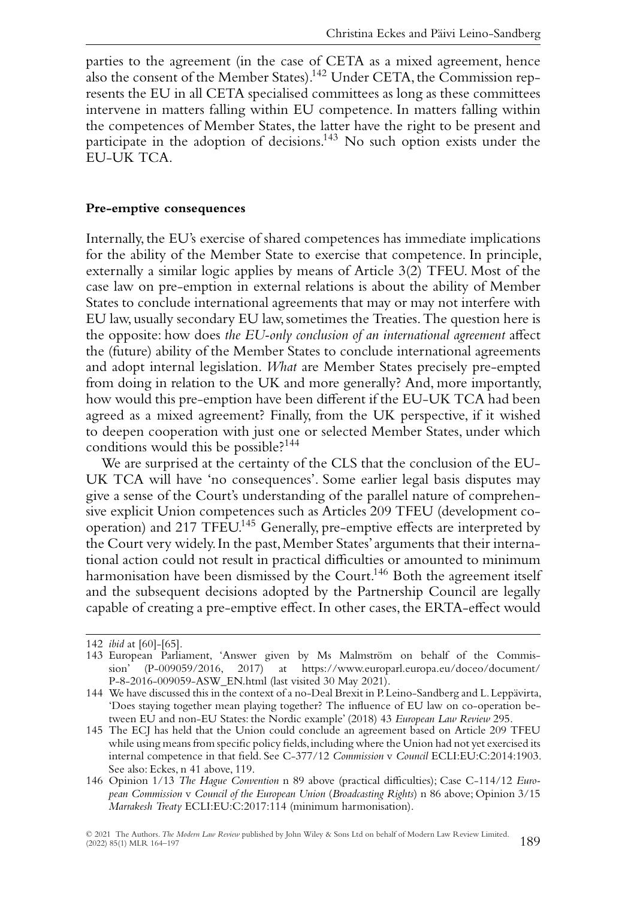parties to the agreement (in the case of CETA as a mixed agreement, hence also the consent of the Member States).<sup>142</sup> Under CETA, the Commission represents the EU in all CETA specialised committees as long as these committees intervene in matters falling within EU competence. In matters falling within the competences of Member States, the latter have the right to be present and participate in the adoption of decisions.<sup>143</sup> No such option exists under the EU-UK TCA.

#### **Pre-emptive consequences**

Internally, the EU's exercise of shared competences has immediate implications for the ability of the Member State to exercise that competence. In principle, externally a similar logic applies by means of Article 3(2) TFEU. Most of the case law on pre-emption in external relations is about the ability of Member States to conclude international agreements that may or may not interfere with EU law, usually secondary EU law, sometimes the Treaties.The question here is the opposite: how does *the EU-only conclusion of an international agreement* affect the (future) ability of the Member States to conclude international agreements and adopt internal legislation. *What* are Member States precisely pre-empted from doing in relation to the UK and more generally? And, more importantly, how would this pre-emption have been different if the EU-UK TCA had been agreed as a mixed agreement? Finally, from the UK perspective, if it wished to deepen cooperation with just one or selected Member States, under which conditions would this be possible? $144$ 

We are surprised at the certainty of the CLS that the conclusion of the EU-UK TCA will have 'no consequences'. Some earlier legal basis disputes may give a sense of the Court's understanding of the parallel nature of comprehensive explicit Union competences such as Articles 209 TFEU (development cooperation) and 217 TFEU.<sup>145</sup> Generally, pre-emptive effects are interpreted by the Court very widely. In the past, Member States' arguments that their international action could not result in practical difficulties or amounted to minimum harmonisation have been dismissed by the Court.<sup>146</sup> Both the agreement itself and the subsequent decisions adopted by the Partnership Council are legally capable of creating a pre-emptive effect. In other cases,the ERTA-effect would

<sup>142</sup> *ibid* at [60]-[65].

<sup>143</sup> European Parliament, 'Answer given by Ms Malmström on behalf of the Commission' (P-009059/2016, 2017) at [https://www.europarl.europa.eu/doceo/document/](https://www.europarl.europa.eu/doceo/document/P-8-2016-009059-ASW_EN.html) [P-8-2016-009059-ASW\\_EN.html](https://www.europarl.europa.eu/doceo/document/P-8-2016-009059-ASW_EN.html) (last visited 30 May 2021).

<sup>144</sup> We have discussed this in the context of a no-Deal Brexit in P.Leino-Sandberg and L.Leppävirta, 'Does staying together mean playing together? The influence of EU law on co-operation between EU and non-EU States: the Nordic example' (2018) 43 *European Law Review* 295.

<sup>145</sup> The ECJ has held that the Union could conclude an agreement based on Article 209 TFEU while using means from specific policy fields, including where the Union had not yet exercised its internal competence in that field. See C-377/12 *Commission* v *Council* ECLI:EU:C:2014:1903. See also: Eckes, n 41 above, 119.

<sup>146</sup> Opinion 1/13 *The Hague Convention* n 89 above (practical difficulties); Case C-114/12 *European Commission* v *Council of the European Union* (*Broadcasting Rights*) n 86 above; Opinion 3/15 *Marrakesh Treaty* ECLI:EU:C:2017:114 (minimum harmonisation).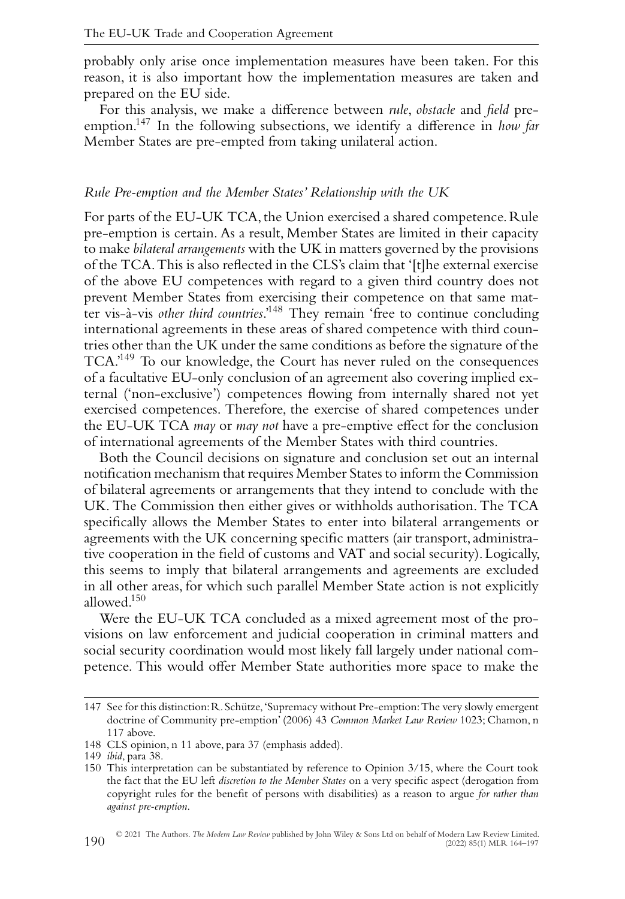probably only arise once implementation measures have been taken. For this reason, it is also important how the implementation measures are taken and prepared on the EU side.

For this analysis, we make a difference between *rule*, *obstacle* and *field* preemption.147 In the following subsections, we identify a difference in *how far* Member States are pre-empted from taking unilateral action.

#### *Rule Pre-emption and the Member States' Relationship with the UK*

For parts of the EU-UK TCA, the Union exercised a shared competence. Rule pre-emption is certain. As a result, Member States are limited in their capacity to make *bilateral arrangements* with the UK in matters governed by the provisions of the TCA.This is also reflected in the CLS's claim that '[t]he external exercise of the above EU competences with regard to a given third country does not prevent Member States from exercising their competence on that same matter vis-à-vis *other third countries*.'148 They remain 'free to continue concluding international agreements in these areas of shared competence with third countries other than the UK under the same conditions as before the signature of the TCA.'149 To our knowledge, the Court has never ruled on the consequences of a facultative EU-only conclusion of an agreement also covering implied external ('non-exclusive') competences flowing from internally shared not yet exercised competences. Therefore, the exercise of shared competences under the EU-UK TCA *may* or *may not* have a pre-emptive effect for the conclusion of international agreements of the Member States with third countries.

Both the Council decisions on signature and conclusion set out an internal notification mechanism that requires Member States to inform the Commission of bilateral agreements or arrangements that they intend to conclude with the UK. The Commission then either gives or withholds authorisation. The TCA specifically allows the Member States to enter into bilateral arrangements or agreements with the UK concerning specific matters (air transport, administrative cooperation in the field of customs and VAT and social security). Logically, this seems to imply that bilateral arrangements and agreements are excluded in all other areas, for which such parallel Member State action is not explicitly allowed.150

Were the EU-UK TCA concluded as a mixed agreement most of the provisions on law enforcement and judicial cooperation in criminal matters and social security coordination would most likely fall largely under national competence. This would offer Member State authorities more space to make the

<sup>147</sup> See for this distinction:R.Schütze,'Supremacy without Pre-emption:The very slowly emergent doctrine of Community pre-emption' (2006) 43 *Common Market Law Review* 1023; Chamon, n 117 above.

<sup>148</sup> CLS opinion, n 11 above, para 37 (emphasis added).

<sup>149</sup> *ibid*, para 38.

<sup>150</sup> This interpretation can be substantiated by reference to Opinion 3/15, where the Court took the fact that the EU left *discretion to the Member States* on a very specific aspect (derogation from copyright rules for the benefit of persons with disabilities) as a reason to argue *for rather than against pre-emption*.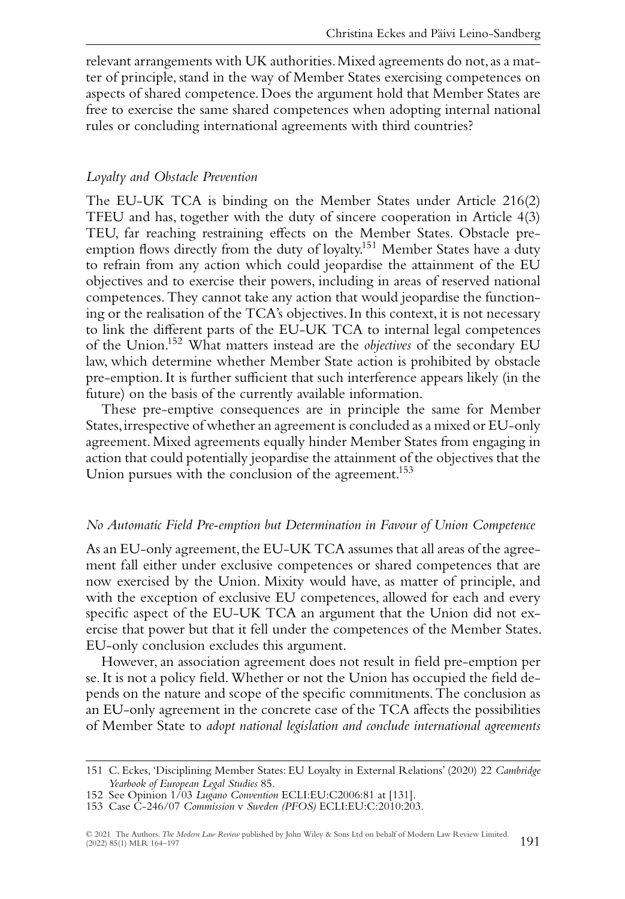relevant arrangements with UK authorities.Mixed agreements do not, as a matter of principle, stand in the way of Member States exercising competences on aspects of shared competence. Does the argument hold that Member States are free to exercise the same shared competences when adopting internal national rules or concluding international agreements with third countries?

#### *Loyalty and Obstacle Prevention*

The EU-UK TCA is binding on the Member States under Article 216(2) TFEU and has, together with the duty of sincere cooperation in Article 4(3) TEU, far reaching restraining effects on the Member States. Obstacle preemption flows directly from the duty of loyalty.<sup>151</sup> Member States have a duty to refrain from any action which could jeopardise the attainment of the EU objectives and to exercise their powers, including in areas of reserved national competences. They cannot take any action that would jeopardise the functioning or the realisation of the TCA's objectives. In this context, it is not necessary to link the different parts of the EU-UK TCA to internal legal competences of the Union.152 What matters instead are the *objectives* of the secondary EU law, which determine whether Member State action is prohibited by obstacle pre-emption. It is further sufficient that such interference appears likely (in the future) on the basis of the currently available information.

These pre-emptive consequences are in principle the same for Member States,irrespective of whether an agreement is concluded as a mixed or EU-only agreement.Mixed agreements equally hinder Member States from engaging in action that could potentially jeopardise the attainment of the objectives that the Union pursues with the conclusion of the agreement.<sup>153</sup>

#### *No Automatic Field Pre-emption but Determination in Favour of Union Competence*

As an EU-only agreement, the EU-UK TCA assumes that all areas of the agreement fall either under exclusive competences or shared competences that are now exercised by the Union. Mixity would have, as matter of principle, and with the exception of exclusive EU competences, allowed for each and every specific aspect of the EU-UK TCA an argument that the Union did not exercise that power but that it fell under the competences of the Member States. EU-only conclusion excludes this argument.

However, an association agreement does not result in field pre-emption per se. It is not a policy field.Whether or not the Union has occupied the field depends on the nature and scope of the specific commitments. The conclusion as an EU-only agreement in the concrete case of the TCA affects the possibilities of Member State to *adopt national legislation and conclude international agreements*

<sup>151</sup> C. Eckes, 'Disciplining Member States: EU Loyalty in External Relations' (2020) 22 *Cambridge Yearbook of European Legal Studies* 85.

<sup>152</sup> See Opinion 1/03 *Lugano Convention* ECLI:EU:C2006:81 at [131].

<sup>153</sup> Case C-246/07 *Commission* v *Sweden (PFOS)* ECLI:EU:C:2010:203.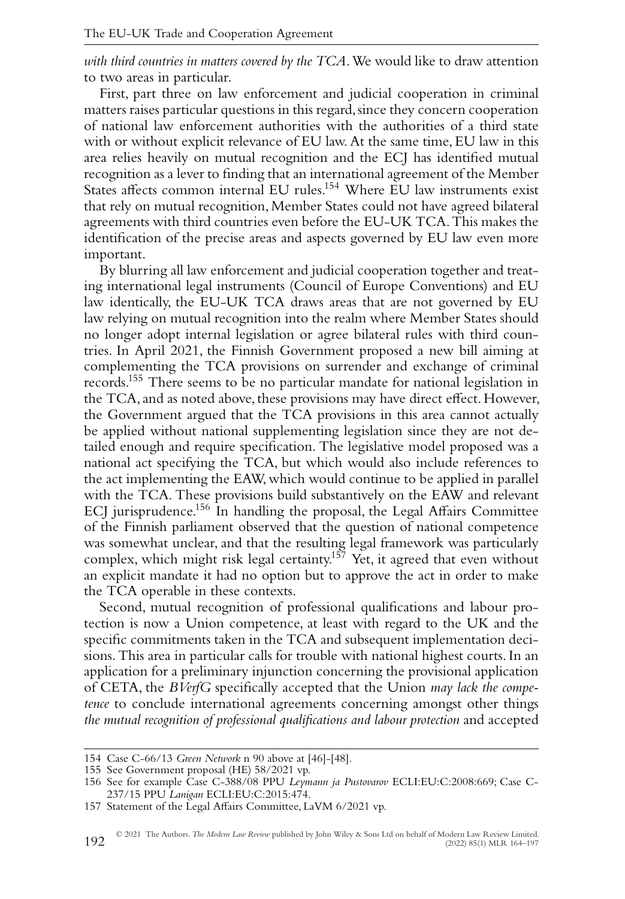*with third countries in matters covered by the TCA*.We would like to draw attention to two areas in particular.

First, part three on law enforcement and judicial cooperation in criminal matters raises particular questions in this regard, since they concern cooperation of national law enforcement authorities with the authorities of a third state with or without explicit relevance of EU law. At the same time, EU law in this area relies heavily on mutual recognition and the ECJ has identified mutual recognition as a lever to finding that an international agreement of the Member States affects common internal EU rules.<sup>154</sup> Where EU law instruments exist that rely on mutual recognition, Member States could not have agreed bilateral agreements with third countries even before the EU-UK TCA.This makes the identification of the precise areas and aspects governed by EU law even more important.

By blurring all law enforcement and judicial cooperation together and treating international legal instruments (Council of Europe Conventions) and EU law identically, the EU-UK TCA draws areas that are not governed by EU law relying on mutual recognition into the realm where Member States should no longer adopt internal legislation or agree bilateral rules with third countries. In April 2021, the Finnish Government proposed a new bill aiming at complementing the TCA provisions on surrender and exchange of criminal records.155 There seems to be no particular mandate for national legislation in the TCA, and as noted above, these provisions may have direct effect. However, the Government argued that the TCA provisions in this area cannot actually be applied without national supplementing legislation since they are not detailed enough and require specification. The legislative model proposed was a national act specifying the TCA, but which would also include references to the act implementing the EAW, which would continue to be applied in parallel with the TCA. These provisions build substantively on the EAW and relevant ECJ jurisprudence.<sup>156</sup> In handling the proposal, the Legal Affairs Committee of the Finnish parliament observed that the question of national competence was somewhat unclear, and that the resulting legal framework was particularly complex, which might risk legal certainty.<sup>157</sup> Yet, it agreed that even without an explicit mandate it had no option but to approve the act in order to make the TCA operable in these contexts.

Second, mutual recognition of professional qualifications and labour protection is now a Union competence, at least with regard to the UK and the specific commitments taken in the TCA and subsequent implementation decisions. This area in particular calls for trouble with national highest courts. In an application for a preliminary injunction concerning the provisional application of CETA, the *BVerfG* specifically accepted that the Union *may lack the competence* to conclude international agreements concerning amongst other things *the mutual recognition of professional qualifications and labour protection* and accepted

<sup>154</sup> Case C-66/13 *Green Network* n 90 above at [46]-[48].

<sup>155</sup> See Government proposal (HE) 58/2021 vp.

<sup>156</sup> See for example Case C-388/08 PPU *Leymann ja Pustovarov* ECLI:EU:C:2008:669; Case C-237/15 PPU *Lanigan* ECLI:EU:C:2015:474.

<sup>157</sup> Statement of the Legal Affairs Committee, LaVM 6/2021 vp.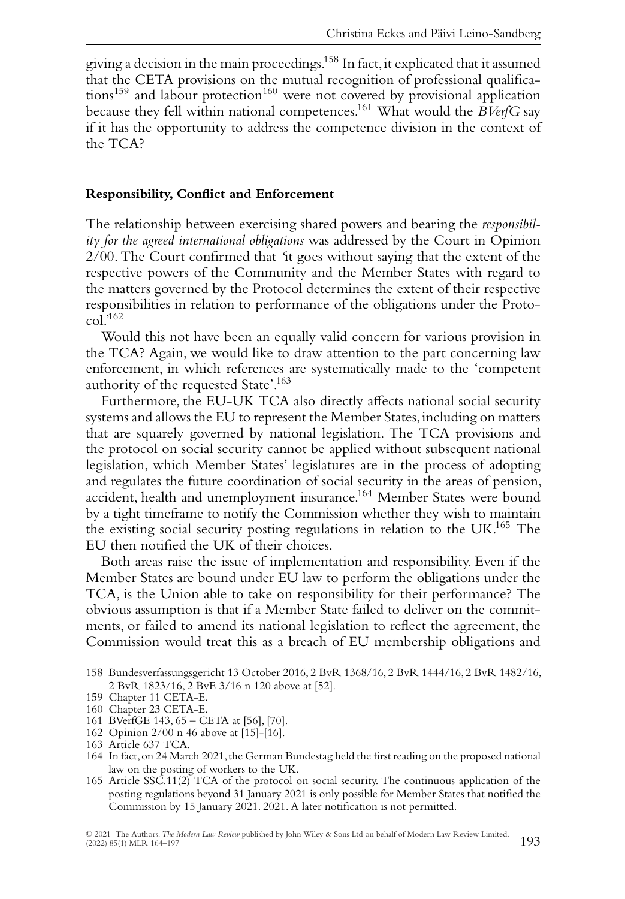giving a decision in the main proceedings.158 In fact,it explicated that it assumed that the CETA provisions on the mutual recognition of professional qualifica $tions<sup>159</sup>$  and labour protection<sup>160</sup> were not covered by provisional application because they fell within national competences.161 What would the *BVerfG* say if it has the opportunity to address the competence division in the context of the TCA?

#### **Responsibility, Conflict and Enforcement**

The relationship between exercising shared powers and bearing the *responsibility for the agreed international obligations* was addressed by the Court in Opinion 2/00. The Court confirmed that *'*it goes without saying that the extent of the respective powers of the Community and the Member States with regard to the matters governed by the Protocol determines the extent of their respective responsibilities in relation to performance of the obligations under the Proto $col.^{162}$ 

Would this not have been an equally valid concern for various provision in the TCA? Again, we would like to draw attention to the part concerning law enforcement, in which references are systematically made to the 'competent authority of the requested State'.163

Furthermore, the EU-UK TCA also directly affects national social security systems and allows the EU to represent the Member States,including on matters that are squarely governed by national legislation. The TCA provisions and the protocol on social security cannot be applied without subsequent national legislation, which Member States' legislatures are in the process of adopting and regulates the future coordination of social security in the areas of pension, accident, health and unemployment insurance.<sup>164</sup> Member States were bound by a tight timeframe to notify the Commission whether they wish to maintain the existing social security posting regulations in relation to the UK.<sup>165</sup> The EU then notified the UK of their choices.

Both areas raise the issue of implementation and responsibility. Even if the Member States are bound under EU law to perform the obligations under the TCA, is the Union able to take on responsibility for their performance? The obvious assumption is that if a Member State failed to deliver on the commitments, or failed to amend its national legislation to reflect the agreement, the Commission would treat this as a breach of EU membership obligations and

<sup>158</sup> Bundesverfassungsgericht 13 October 2016, 2 BvR 1368/16, 2 BvR 1444/16, 2 BvR 1482/16, 2 BvR 1823/16, 2 BvE 3/16 n 120 above at [52].

<sup>159</sup> Chapter 11 CETA-E.

<sup>160</sup> Chapter 23 CETA-E.

<sup>161</sup> BVerfGE 143, 65 – CETA at [56], [70].

<sup>162</sup> Opinion 2/00 n 46 above at [15]-[16].

<sup>163</sup> Article 637 TCA.

<sup>164</sup> In fact, on 24 March 2021, the German Bundestag held the first reading on the proposed national law on the posting of workers to the UK.

<sup>165</sup> Article SSC.11(2) TCA of the protocol on social security. The continuous application of the posting regulations beyond 31 January 2021 is only possible for Member States that notified the Commission by 15 January 2021. 2021. A later notification is not permitted.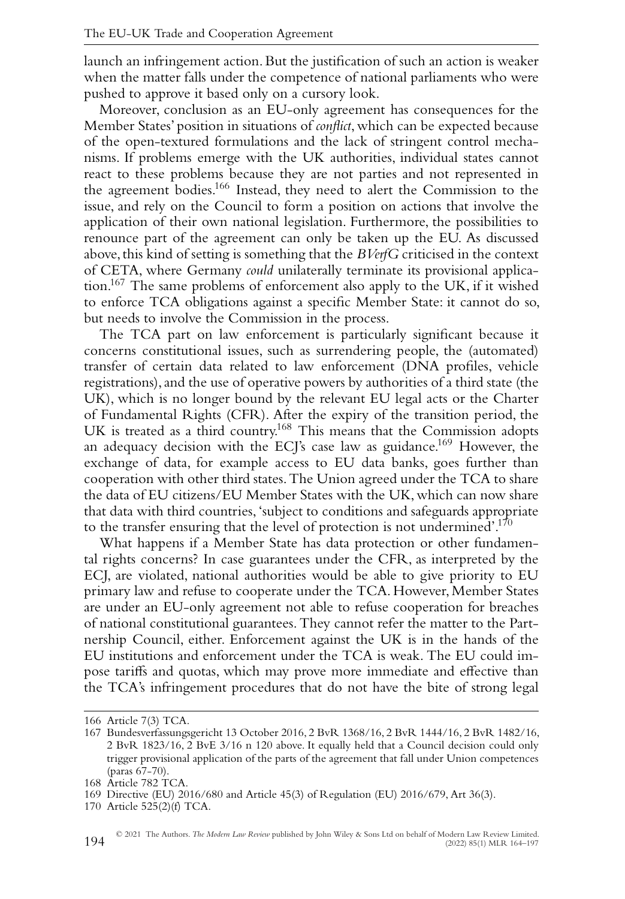launch an infringement action. But the justification of such an action is weaker when the matter falls under the competence of national parliaments who were pushed to approve it based only on a cursory look.

Moreover, conclusion as an EU-only agreement has consequences for the Member States' position in situations of *conflict*, which can be expected because of the open-textured formulations and the lack of stringent control mechanisms. If problems emerge with the UK authorities, individual states cannot react to these problems because they are not parties and not represented in the agreement bodies.166 Instead, they need to alert the Commission to the issue, and rely on the Council to form a position on actions that involve the application of their own national legislation. Furthermore, the possibilities to renounce part of the agreement can only be taken up the EU. As discussed above,this kind of setting is something that the *BVerfG* criticised in the context of CETA, where Germany *could* unilaterally terminate its provisional application.167 The same problems of enforcement also apply to the UK, if it wished to enforce TCA obligations against a specific Member State: it cannot do so, but needs to involve the Commission in the process.

The TCA part on law enforcement is particularly significant because it concerns constitutional issues, such as surrendering people, the (automated) transfer of certain data related to law enforcement (DNA profiles, vehicle registrations), and the use of operative powers by authorities of a third state (the UK), which is no longer bound by the relevant EU legal acts or the Charter of Fundamental Rights (CFR). After the expiry of the transition period, the UK is treated as a third country.<sup>168</sup> This means that the Commission adopts an adequacy decision with the ECJ's case law as guidance.<sup>169</sup> However, the exchange of data, for example access to EU data banks, goes further than cooperation with other third states.The Union agreed under the TCA to share the data of EU citizens/EU Member States with the UK, which can now share that data with third countries, 'subject to conditions and safeguards appropriate to the transfer ensuring that the level of protection is not undermined'.<sup>170</sup>

What happens if a Member State has data protection or other fundamental rights concerns? In case guarantees under the CFR, as interpreted by the ECJ, are violated, national authorities would be able to give priority to EU primary law and refuse to cooperate under the TCA. However, Member States are under an EU-only agreement not able to refuse cooperation for breaches of national constitutional guarantees. They cannot refer the matter to the Partnership Council, either. Enforcement against the UK is in the hands of the EU institutions and enforcement under the TCA is weak. The EU could impose tariffs and quotas, which may prove more immediate and effective than the TCA's infringement procedures that do not have the bite of strong legal

<sup>166</sup> Article 7(3) TCA.

<sup>167</sup> Bundesverfassungsgericht 13 October 2016, 2 BvR 1368/16, 2 BvR 1444/16, 2 BvR 1482/16, 2 BvR 1823/16, 2 BvE 3/16 n 120 above. It equally held that a Council decision could only trigger provisional application of the parts of the agreement that fall under Union competences (paras 67-70).

<sup>168</sup> Article 782 TCA.

<sup>169</sup> Directive (EU) 2016/680 and Article 45(3) of Regulation (EU) 2016/679, Art 36(3).

<sup>170</sup> Article 525(2)(f) TCA.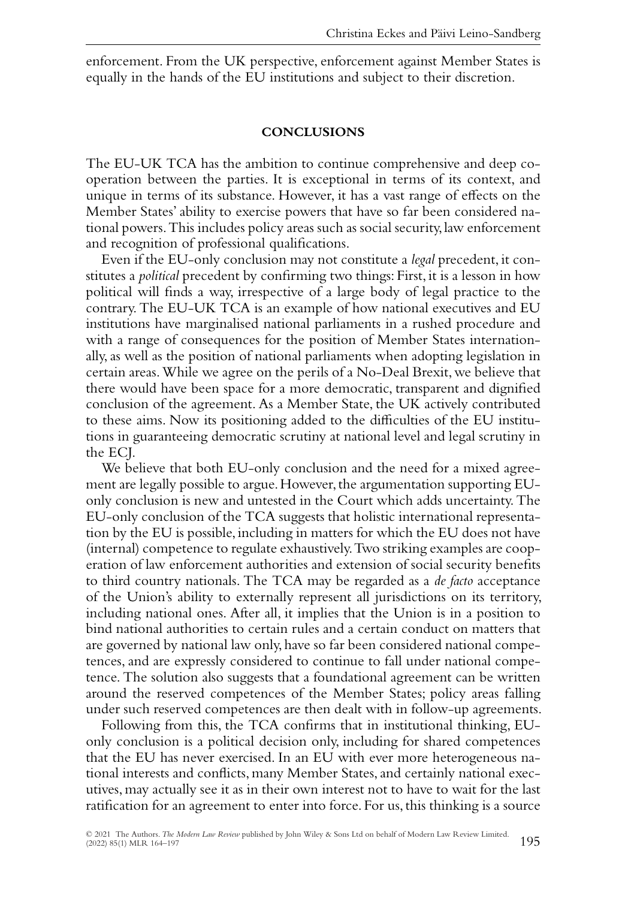enforcement. From the UK perspective, enforcement against Member States is equally in the hands of the EU institutions and subject to their discretion.

#### **CONCLUSIONS**

The EU-UK TCA has the ambition to continue comprehensive and deep cooperation between the parties. It is exceptional in terms of its context, and unique in terms of its substance. However, it has a vast range of effects on the Member States' ability to exercise powers that have so far been considered national powers.This includes policy areas such as social security,law enforcement and recognition of professional qualifications.

Even if the EU-only conclusion may not constitute a *legal* precedent, it constitutes a *political* precedent by confirming two things: First, it is a lesson in how political will finds a way, irrespective of a large body of legal practice to the contrary. The EU-UK TCA is an example of how national executives and EU institutions have marginalised national parliaments in a rushed procedure and with a range of consequences for the position of Member States internationally, as well as the position of national parliaments when adopting legislation in certain areas.While we agree on the perils of a No-Deal Brexit, we believe that there would have been space for a more democratic, transparent and dignified conclusion of the agreement. As a Member State, the UK actively contributed to these aims. Now its positioning added to the difficulties of the EU institutions in guaranteeing democratic scrutiny at national level and legal scrutiny in the ECJ.

We believe that both EU-only conclusion and the need for a mixed agreement are legally possible to argue. However, the argumentation supporting EUonly conclusion is new and untested in the Court which adds uncertainty. The EU-only conclusion of the TCA suggests that holistic international representation by the EU is possible, including in matters for which the EU does not have (internal) competence to regulate exhaustively.Two striking examples are cooperation of law enforcement authorities and extension of social security benefits to third country nationals. The TCA may be regarded as a *de facto* acceptance of the Union's ability to externally represent all jurisdictions on its territory, including national ones. After all, it implies that the Union is in a position to bind national authorities to certain rules and a certain conduct on matters that are governed by national law only, have so far been considered national competences, and are expressly considered to continue to fall under national competence. The solution also suggests that a foundational agreement can be written around the reserved competences of the Member States; policy areas falling under such reserved competences are then dealt with in follow-up agreements.

Following from this, the TCA confirms that in institutional thinking, EUonly conclusion is a political decision only, including for shared competences that the EU has never exercised. In an EU with ever more heterogeneous national interests and conflicts, many Member States, and certainly national executives, may actually see it as in their own interest not to have to wait for the last ratification for an agreement to enter into force. For us,this thinking is a source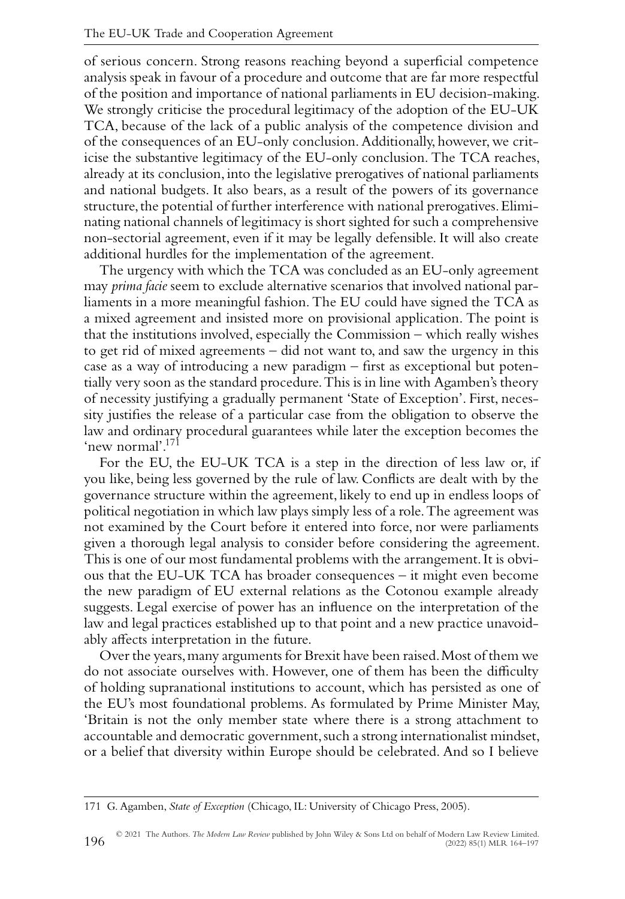of serious concern. Strong reasons reaching beyond a superficial competence analysis speak in favour of a procedure and outcome that are far more respectful of the position and importance of national parliaments in EU decision-making. We strongly criticise the procedural legitimacy of the adoption of the EU-UK TCA, because of the lack of a public analysis of the competence division and of the consequences of an EU-only conclusion. Additionally, however, we criticise the substantive legitimacy of the EU-only conclusion. The TCA reaches, already at its conclusion, into the legislative prerogatives of national parliaments and national budgets. It also bears, as a result of the powers of its governance structure, the potential of further interference with national prerogatives. Eliminating national channels of legitimacy is short sighted for such a comprehensive non-sectorial agreement, even if it may be legally defensible. It will also create additional hurdles for the implementation of the agreement.

The urgency with which the TCA was concluded as an EU-only agreement may *prima facie* seem to exclude alternative scenarios that involved national parliaments in a more meaningful fashion. The EU could have signed the TCA as a mixed agreement and insisted more on provisional application. The point is that the institutions involved, especially the Commission – which really wishes to get rid of mixed agreements – did not want to, and saw the urgency in this case as a way of introducing a new paradigm – first as exceptional but potentially very soon as the standard procedure.This is in line with Agamben's theory of necessity justifying a gradually permanent 'State of Exception'. First, necessity justifies the release of a particular case from the obligation to observe the law and ordinary procedural guarantees while later the exception becomes the 'new normal'.<sup>171</sup>

For the EU, the EU-UK TCA is a step in the direction of less law or, if you like, being less governed by the rule of law. Conflicts are dealt with by the governance structure within the agreement, likely to end up in endless loops of political negotiation in which law plays simply less of a role.The agreement was not examined by the Court before it entered into force, nor were parliaments given a thorough legal analysis to consider before considering the agreement. This is one of our most fundamental problems with the arrangement. It is obvious that the EU-UK TCA has broader consequences – it might even become the new paradigm of EU external relations as the Cotonou example already suggests. Legal exercise of power has an influence on the interpretation of the law and legal practices established up to that point and a new practice unavoidably affects interpretation in the future.

Over the years,many arguments for Brexit have been raised.Most of them we do not associate ourselves with. However, one of them has been the difficulty of holding supranational institutions to account, which has persisted as one of the EU's most foundational problems. As formulated by Prime Minister May, 'Britain is not the only member state where there is a strong attachment to accountable and democratic government, such a strong internationalist mindset, or a belief that diversity within Europe should be celebrated. And so I believe

<sup>171</sup> G. Agamben, *State of Exception* (Chicago, IL: University of Chicago Press, 2005).